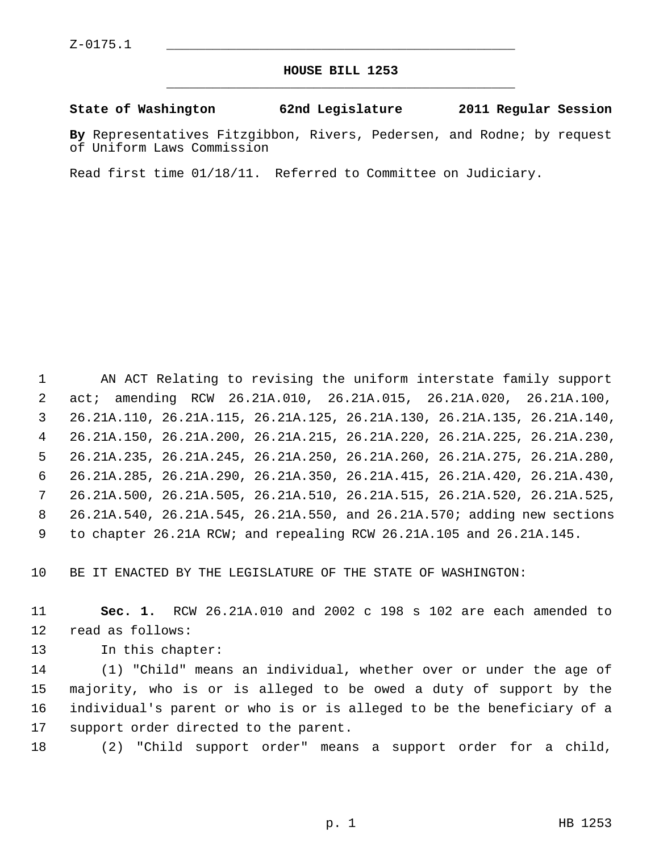## **HOUSE BILL 1253** \_\_\_\_\_\_\_\_\_\_\_\_\_\_\_\_\_\_\_\_\_\_\_\_\_\_\_\_\_\_\_\_\_\_\_\_\_\_\_\_\_\_\_\_\_

## **State of Washington 62nd Legislature 2011 Regular Session**

**By** Representatives Fitzgibbon, Rivers, Pedersen, and Rodne; by request of Uniform Laws Commission

Read first time 01/18/11. Referred to Committee on Judiciary.

 1 AN ACT Relating to revising the uniform interstate family support 2 act; amending RCW 26.21A.010, 26.21A.015, 26.21A.020, 26.21A.100, 3 26.21A.110, 26.21A.115, 26.21A.125, 26.21A.130, 26.21A.135, 26.21A.140, 4 26.21A.150, 26.21A.200, 26.21A.215, 26.21A.220, 26.21A.225, 26.21A.230, 5 26.21A.235, 26.21A.245, 26.21A.250, 26.21A.260, 26.21A.275, 26.21A.280, 6 26.21A.285, 26.21A.290, 26.21A.350, 26.21A.415, 26.21A.420, 26.21A.430, 7 26.21A.500, 26.21A.505, 26.21A.510, 26.21A.515, 26.21A.520, 26.21A.525, 8 26.21A.540, 26.21A.545, 26.21A.550, and 26.21A.570; adding new sections 9 to chapter 26.21A RCW; and repealing RCW 26.21A.105 and 26.21A.145.

10 BE IT ENACTED BY THE LEGISLATURE OF THE STATE OF WASHINGTON:

11 **Sec. 1.** RCW 26.21A.010 and 2002 c 198 s 102 are each amended to 12 read as follows:

13 In this chapter:

14 (1) "Child" means an individual, whether over or under the age of 15 majority, who is or is alleged to be owed a duty of support by the 16 individual's parent or who is or is alleged to be the beneficiary of a 17 support order directed to the parent.

18 (2) "Child support order" means a support order for a child,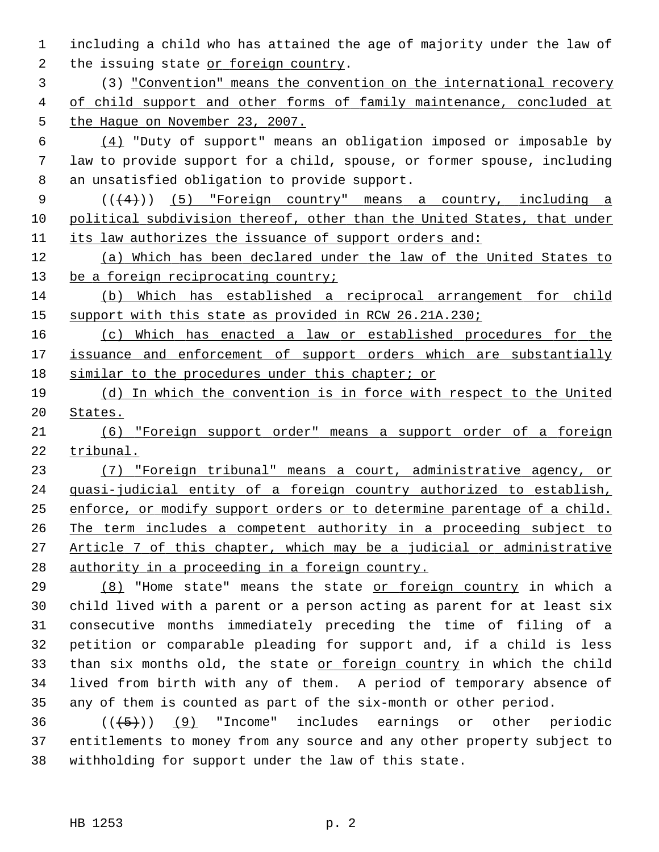1 including a child who has attained the age of majority under the law of 2 the issuing state or foreign country.

 3 (3) "Convention" means the convention on the international recovery 4 of child support and other forms of family maintenance, concluded at 5 the Hague on November 23, 2007.

6  $(4)$  "Duty of support" means an obligation imposed or imposable by 7 law to provide support for a child, spouse, or former spouse, including 8 an unsatisfied obligation to provide support.

9  $((+4))$  (5) "Foreign country" means a country, including a 10 political subdivision thereof, other than the United States, that under 11 its law authorizes the issuance of support orders and:

12 (a) Which has been declared under the law of the United States to 13 be a foreign reciprocating country;

14 (b) Which has established a reciprocal arrangement for child 15 support with this state as provided in RCW 26.21A.230;

16 (c) Which has enacted a law or established procedures for the 17 issuance and enforcement of support orders which are substantially 18 similar to the procedures under this chapter; or

19 (d) In which the convention is in force with respect to the United 20 States.

21 (6) "Foreign support order" means a support order of a foreign 22 tribunal.

 (7) "Foreign tribunal" means a court, administrative agency, or quasi-judicial entity of a foreign country authorized to establish, enforce, or modify support orders or to determine parentage of a child. The term includes a competent authority in a proceeding subject to Article 7 of this chapter, which may be a judicial or administrative authority in a proceeding in a foreign country.

29 (8) "Home state" means the state or foreign country in which a 30 child lived with a parent or a person acting as parent for at least six 31 consecutive months immediately preceding the time of filing of a 32 petition or comparable pleading for support and, if a child is less 33 than six months old, the state or foreign country in which the child 34 lived from birth with any of them. A period of temporary absence of 35 any of them is counted as part of the six-month or other period.

 $36$  ( $(\overline{5})$ ) (9) "Income" includes earnings or other periodic 37 entitlements to money from any source and any other property subject to 38 withholding for support under the law of this state.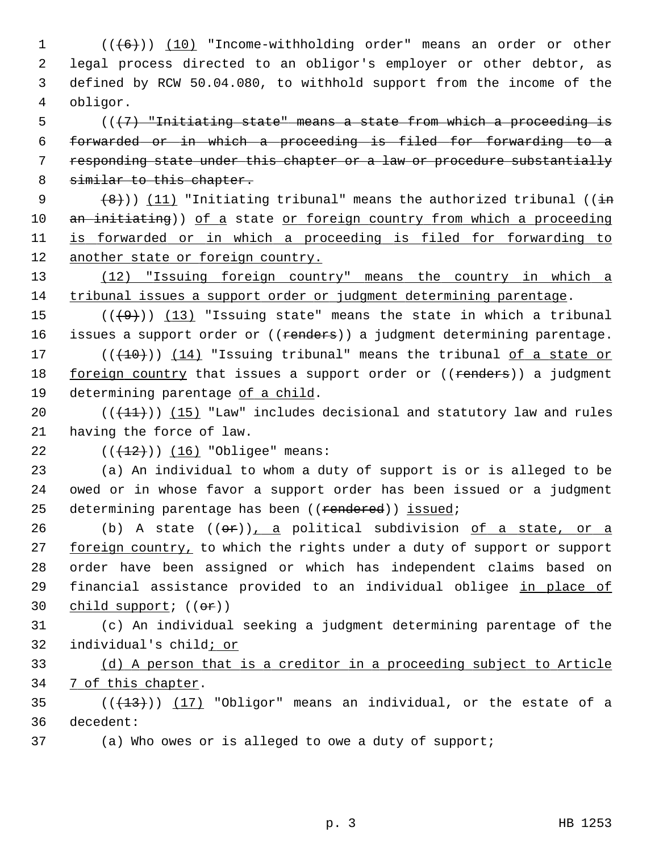$1$  ( $(\frac{16}{10})$   $(10)$  "Income-withholding order" means an order or other 2 legal process directed to an obligor's employer or other debtor, as 3 defined by RCW 50.04.080, to withhold support from the income of the 4 obligor.

 (( $\{7\}$  "Initiating state" means a state from which a proceeding is forwarded or in which a proceeding is filed for forwarding to a responding state under this chapter or a law or procedure substantially 8 similar to this chapter.

9  $(3)$   $(8)$ )) (11) "Initiating tribunal" means the authorized tribunal (( $\frac{1}{1}$ ) 10 an initiating)) of a state or foreign country from which a proceeding 11 is forwarded or in which a proceeding is filed for forwarding to 12 another state or foreign country.

13 (12) "Issuing foreign country" means the country in which a 14 tribunal issues a support order or judgment determining parentage.

15  $((+9))$  (13) "Issuing state" means the state in which a tribunal 16 issues a support order or ((renders)) a judgment determining parentage. 17  $((+10))$  (14) "Issuing tribunal" means the tribunal of a state or 18 foreign country that issues a support order or ((renders)) a judgment

19 determining parentage of a child.

20  $((+11))$  (15) "Law" includes decisional and statutory law and rules 21 having the force of law.

22  $((+12))$   $(16)$  "Obligee" means:

23 (a) An individual to whom a duty of support is or is alleged to be 24 owed or in whose favor a support order has been issued or a judgment 25 determining parentage has been ((rendered)) issued;

26 (b) A state  $((\theta \cdot r))$ , a political subdivision of a state, or a 27 foreign country, to which the rights under a duty of support or support 28 order have been assigned or which has independent claims based on 29 financial assistance provided to an individual obligee in place of 30 child support;  $((\theta \cdot r))$ 

31 (c) An individual seeking a judgment determining parentage of the 32 individual's child; or

33 (d) A person that is a creditor in a proceeding subject to Article 34 7 of this chapter.

35  $((+13))$   $(17)$  "Obligor" means an individual, or the estate of a 36 decedent:

37 (a) Who owes or is alleged to owe a duty of support;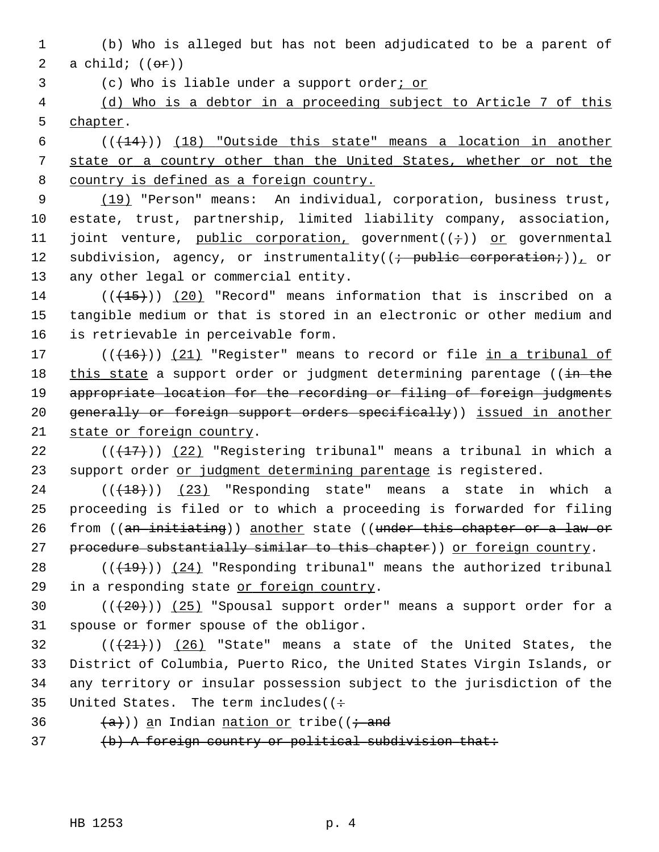1 (b) Who is alleged but has not been adjudicated to be a parent of 2 a child;  $((\theta \cdot \hat{r}))$ 

3 (c) Who is liable under a support order; or

 4 (d) Who is a debtor in a proceeding subject to Article 7 of this 5 chapter.

 $6$  ( $(\frac{14}{14})$ ) (18) "Outside this state" means a location in another 7 state or a country other than the United States, whether or not the 8 country is defined as a foreign country.

 9 (19) "Person" means: An individual, corporation, business trust, 10 estate, trust, partnership, limited liability company, association, 11 joint venture, public corporation, government( $(i+1)$ ) or governmental 12 subdivision, agency, or instrumentality( $(i + \text{public corporation}.)$ ), or 13 any other legal or commercial entity.

 $14$  (( $(15)$ )) (20) "Record" means information that is inscribed on a 15 tangible medium or that is stored in an electronic or other medium and 16 is retrievable in perceivable form.

17  $((+16))$   $(21)$  "Register" means to record or file in a tribunal of 18 this state a support order or judgment determining parentage (( $\frac{1}{2}$  the 19 appropriate location for the recording or filing of foreign judgments 20 generally or foreign support orders specifically)) issued in another 21 state or foreign country.

22 ( $(417)$ ) (22) "Registering tribunal" means a tribunal in which a 23 support order or judgment determining parentage is registered.

 $24$  ( $(\overline{+18})$ ) (23) "Responding state" means a state in which a 25 proceeding is filed or to which a proceeding is forwarded for filing 26 from ((an initiating)) another state ((under this chapter or a law or 27 procedure substantially similar to this chapter)) or foreign country.

28  $((+19))$   $(24)$  "Responding tribunal" means the authorized tribunal 29 in a responding state or foreign country.

30  $((+20))$   $(25)$  "Spousal support order" means a support order for a 31 spouse or former spouse of the obligor.

 $(1+21)$  (26) "State" means a state of the United States, the 33 District of Columbia, Puerto Rico, the United States Virgin Islands, or 34 any territory or insular possession subject to the jurisdiction of the 35 United States. The term includes ( $\left( \div \right)$ 

36  $(a+)$ ) an Indian nation or tribe(( $\dot{a}$  and

37 (b) A foreign country or political subdivision that: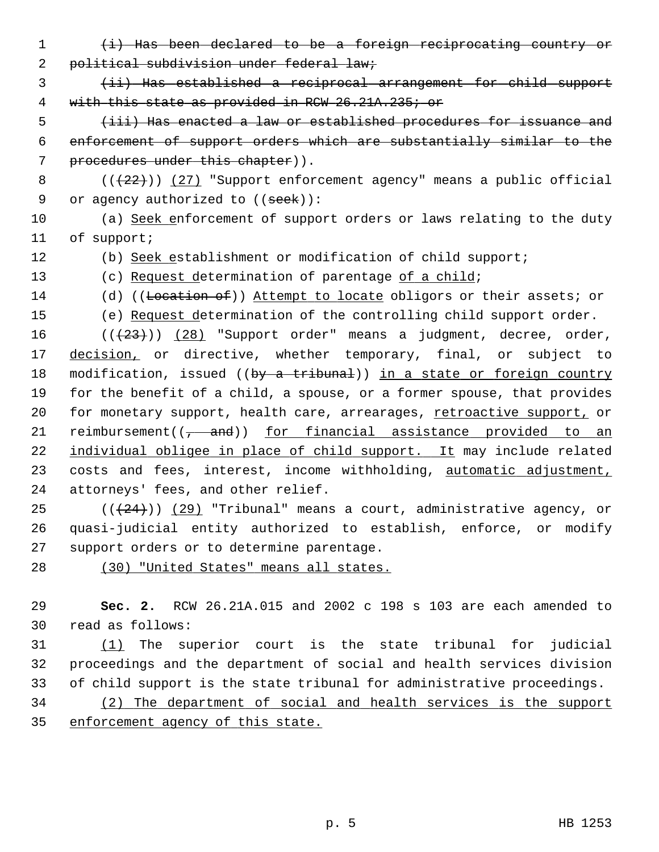- 1 (i) Has been declared to be a foreign reciprocating country or 2 political subdivision under federal law;
- 3 (ii) Has established a reciprocal arrangement for child support 4 with this state as provided in RCW 26.21A.235; or

 5 (iii) Has enacted a law or established procedures for issuance and 6 enforcement of support orders which are substantially similar to the 7 procedures under this chapter)).

8  $((+22))$  (27) "Support enforcement agency" means a public official 9 or agency authorized to  $((see k))$ :

10 (a) Seek enforcement of support orders or laws relating to the duty 11 of support;

12 (b) Seek establishment or modification of child support;

- 13 (c) Request determination of parentage of a child;
- 14 (d) ((Location of)) Attempt to locate obligors or their assets; or
- 15 (e) Request determination of the controlling child support order.

16  $((+23))$   $(28)$  "Support order" means a judgment, decree, order, 17 decision, or directive, whether temporary, final, or subject to 18 modification, issued ((by a tribunal)) in a state or foreign country 19 for the benefit of a child, a spouse, or a former spouse, that provides 20 for monetary support, health care, arrearages, retroactive support, or 21 reimbursement $((\frac{1}{\epsilon} - \text{and}))$  for financial assistance provided to an 22 individual obligee in place of child support. It may include related 23 costs and fees, interest, income withholding, automatic adjustment, 24 attorneys' fees, and other relief.

25  $((+24))$   $(29)$  "Tribunal" means a court, administrative agency, or 26 quasi-judicial entity authorized to establish, enforce, or modify 27 support orders or to determine parentage.

28 (30) "United States" means all states.

29 **Sec. 2.** RCW 26.21A.015 and 2002 c 198 s 103 are each amended to 30 read as follows:

31 (1) The superior court is the state tribunal for judicial 32 proceedings and the department of social and health services division 33 of child support is the state tribunal for administrative proceedings.

34 (2) The department of social and health services is the support 35 enforcement agency of this state.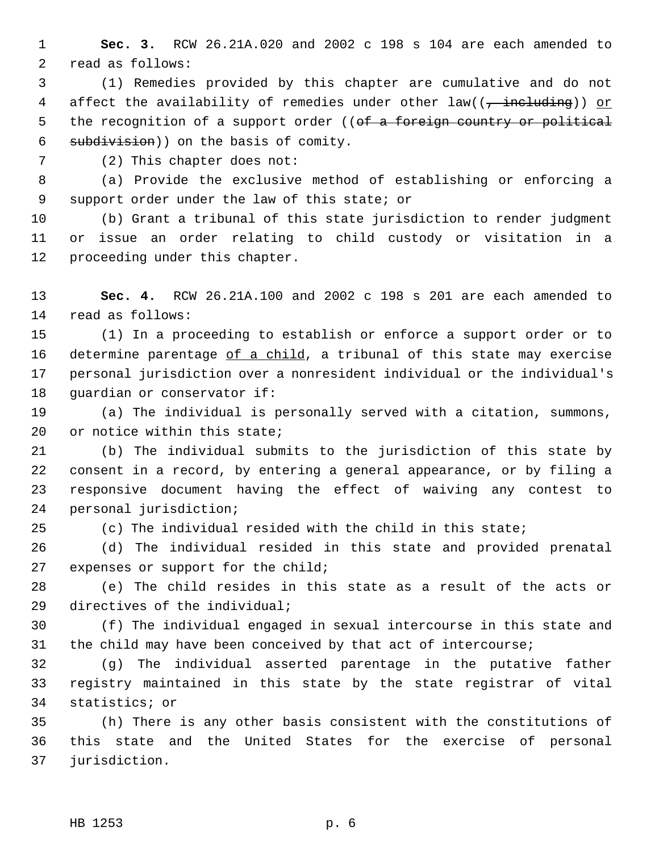1 **Sec. 3.** RCW 26.21A.020 and 2002 c 198 s 104 are each amended to 2 read as follows:

 3 (1) Remedies provided by this chapter are cumulative and do not 4 affect the availability of remedies under other law((<del>, including</del>)) or 5 the recognition of a support order ((of a foreign country or political 6 subdivision)) on the basis of comity.

7 (2) This chapter does not:

 8 (a) Provide the exclusive method of establishing or enforcing a 9 support order under the law of this state; or

10 (b) Grant a tribunal of this state jurisdiction to render judgment 11 or issue an order relating to child custody or visitation in a 12 proceeding under this chapter.

13 **Sec. 4.** RCW 26.21A.100 and 2002 c 198 s 201 are each amended to 14 read as follows:

15 (1) In a proceeding to establish or enforce a support order or to 16 determine parentage of a child, a tribunal of this state may exercise 17 personal jurisdiction over a nonresident individual or the individual's 18 quardian or conservator if:

19 (a) The individual is personally served with a citation, summons, 20 or notice within this state;

21 (b) The individual submits to the jurisdiction of this state by 22 consent in a record, by entering a general appearance, or by filing a 23 responsive document having the effect of waiving any contest to 24 personal jurisdiction;

25 (c) The individual resided with the child in this state;

26 (d) The individual resided in this state and provided prenatal 27 expenses or support for the child;

28 (e) The child resides in this state as a result of the acts or 29 directives of the individual;

30 (f) The individual engaged in sexual intercourse in this state and 31 the child may have been conceived by that act of intercourse;

32 (g) The individual asserted parentage in the putative father 33 registry maintained in this state by the state registrar of vital 34 statistics; or

35 (h) There is any other basis consistent with the constitutions of 36 this state and the United States for the exercise of personal 37 jurisdiction.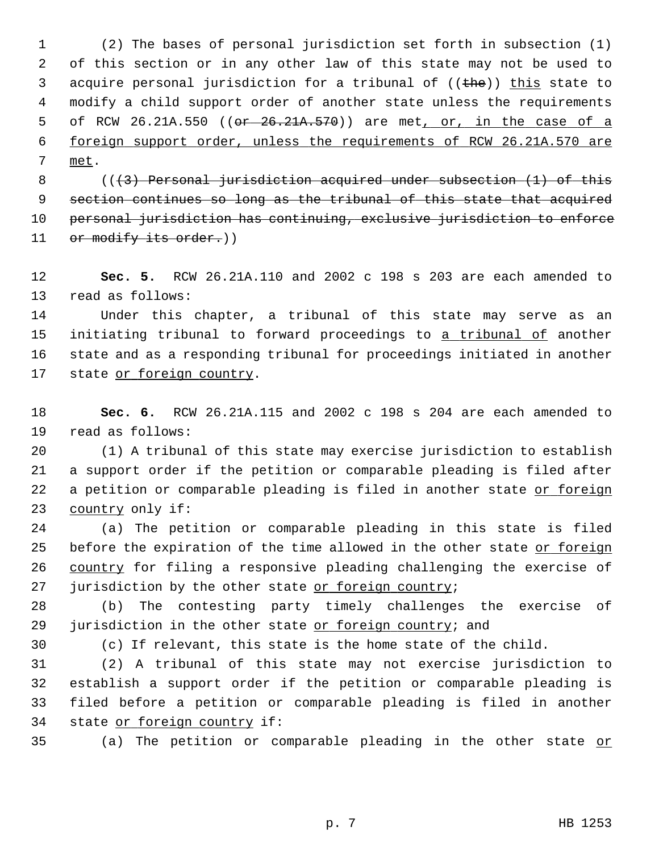1 (2) The bases of personal jurisdiction set forth in subsection (1) 2 of this section or in any other law of this state may not be used to 3 acquire personal jurisdiction for a tribunal of  $((the))$  this state to 4 modify a child support order of another state unless the requirements 5 of RCW 26.21A.550 ((or 26.21A.570)) are met, or, in the case of a 6 foreign support order, unless the requirements of RCW 26.21A.570 are 7 met.

8 (((3) Personal jurisdiction acquired under subsection (1) of this 9 section continues so long as the tribunal of this state that acquired 10 personal jurisdiction has continuing, exclusive jurisdiction to enforce 11 or modify its order.))

12 **Sec. 5.** RCW 26.21A.110 and 2002 c 198 s 203 are each amended to 13 read as follows:

14 Under this chapter, a tribunal of this state may serve as an 15 initiating tribunal to forward proceedings to a tribunal of another 16 state and as a responding tribunal for proceedings initiated in another 17 state or foreign country.

18 **Sec. 6.** RCW 26.21A.115 and 2002 c 198 s 204 are each amended to 19 read as follows:

20 (1) A tribunal of this state may exercise jurisdiction to establish 21 a support order if the petition or comparable pleading is filed after 22 a petition or comparable pleading is filed in another state or foreign 23 country only if:

24 (a) The petition or comparable pleading in this state is filed 25 before the expiration of the time allowed in the other state or foreign 26 country for filing a responsive pleading challenging the exercise of 27 jurisdiction by the other state or foreign country;

28 (b) The contesting party timely challenges the exercise of 29 jurisdiction in the other state or foreign country; and

30 (c) If relevant, this state is the home state of the child.

31 (2) A tribunal of this state may not exercise jurisdiction to 32 establish a support order if the petition or comparable pleading is 33 filed before a petition or comparable pleading is filed in another 34 state or foreign country if:

35 (a) The petition or comparable pleading in the other state or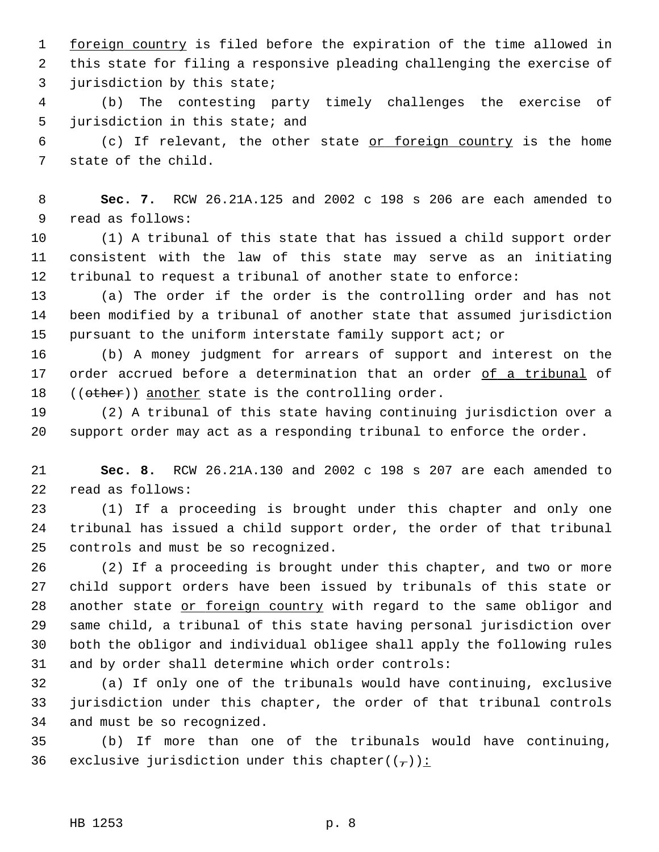1 foreign country is filed before the expiration of the time allowed in 2 this state for filing a responsive pleading challenging the exercise of 3 jurisdiction by this state;

 4 (b) The contesting party timely challenges the exercise of 5 jurisdiction in this state; and

 6 (c) If relevant, the other state or foreign country is the home 7 state of the child.

 8 **Sec. 7.** RCW 26.21A.125 and 2002 c 198 s 206 are each amended to 9 read as follows:

10 (1) A tribunal of this state that has issued a child support order 11 consistent with the law of this state may serve as an initiating 12 tribunal to request a tribunal of another state to enforce:

13 (a) The order if the order is the controlling order and has not 14 been modified by a tribunal of another state that assumed jurisdiction 15 pursuant to the uniform interstate family support act; or

16 (b) A money judgment for arrears of support and interest on the 17 order accrued before a determination that an order of a tribunal of 18 ((other)) another state is the controlling order.

19 (2) A tribunal of this state having continuing jurisdiction over a 20 support order may act as a responding tribunal to enforce the order.

21 **Sec. 8.** RCW 26.21A.130 and 2002 c 198 s 207 are each amended to 22 read as follows:

23 (1) If a proceeding is brought under this chapter and only one 24 tribunal has issued a child support order, the order of that tribunal 25 controls and must be so recognized.

26 (2) If a proceeding is brought under this chapter, and two or more 27 child support orders have been issued by tribunals of this state or 28 another state or foreign country with regard to the same obligor and 29 same child, a tribunal of this state having personal jurisdiction over 30 both the obligor and individual obligee shall apply the following rules 31 and by order shall determine which order controls:

32 (a) If only one of the tribunals would have continuing, exclusive 33 jurisdiction under this chapter, the order of that tribunal controls 34 and must be so recognized.

35 (b) If more than one of the tribunals would have continuing, 36 exclusive jurisdiction under this chapter( $(\frac{\tau}{l})$ ):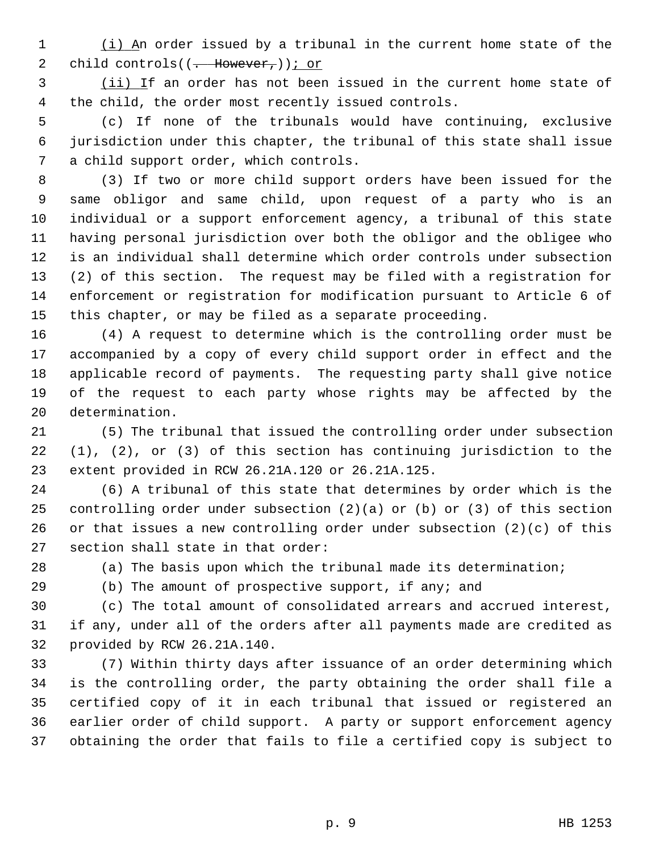1 (i) An order issued by a tribunal in the current home state of the 2 child controls( $(-$  However,)); or

 3 (ii) If an order has not been issued in the current home state of 4 the child, the order most recently issued controls.

 5 (c) If none of the tribunals would have continuing, exclusive 6 jurisdiction under this chapter, the tribunal of this state shall issue 7 a child support order, which controls.

 8 (3) If two or more child support orders have been issued for the 9 same obligor and same child, upon request of a party who is an 10 individual or a support enforcement agency, a tribunal of this state 11 having personal jurisdiction over both the obligor and the obligee who 12 is an individual shall determine which order controls under subsection 13 (2) of this section. The request may be filed with a registration for 14 enforcement or registration for modification pursuant to Article 6 of 15 this chapter, or may be filed as a separate proceeding.

16 (4) A request to determine which is the controlling order must be 17 accompanied by a copy of every child support order in effect and the 18 applicable record of payments. The requesting party shall give notice 19 of the request to each party whose rights may be affected by the 20 determination.

21 (5) The tribunal that issued the controlling order under subsection 22 (1), (2), or (3) of this section has continuing jurisdiction to the 23 extent provided in RCW 26.21A.120 or 26.21A.125.

24 (6) A tribunal of this state that determines by order which is the 25 controlling order under subsection  $(2)(a)$  or  $(b)$  or  $(3)$  of this section 26 or that issues a new controlling order under subsection (2)(c) of this 27 section shall state in that order:

28 (a) The basis upon which the tribunal made its determination;

29 (b) The amount of prospective support, if any; and

30 (c) The total amount of consolidated arrears and accrued interest, 31 if any, under all of the orders after all payments made are credited as 32 provided by RCW 26.21A.140.

33 (7) Within thirty days after issuance of an order determining which 34 is the controlling order, the party obtaining the order shall file a 35 certified copy of it in each tribunal that issued or registered an 36 earlier order of child support. A party or support enforcement agency 37 obtaining the order that fails to file a certified copy is subject to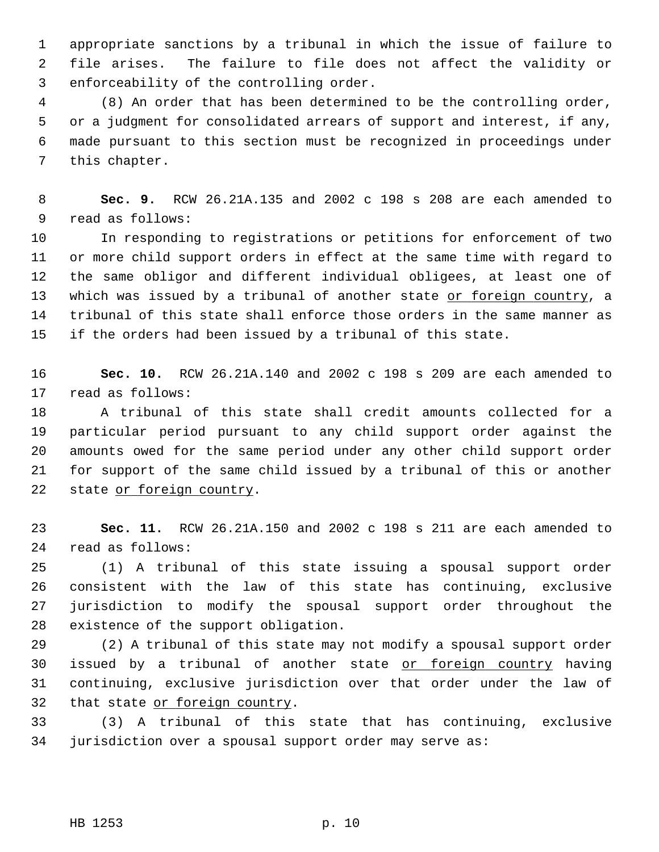1 appropriate sanctions by a tribunal in which the issue of failure to 2 file arises. The failure to file does not affect the validity or 3 enforceability of the controlling order.

 4 (8) An order that has been determined to be the controlling order, 5 or a judgment for consolidated arrears of support and interest, if any, 6 made pursuant to this section must be recognized in proceedings under 7 this chapter.

 8 **Sec. 9.** RCW 26.21A.135 and 2002 c 198 s 208 are each amended to 9 read as follows:

10 In responding to registrations or petitions for enforcement of two 11 or more child support orders in effect at the same time with regard to 12 the same obligor and different individual obligees, at least one of 13 which was issued by a tribunal of another state or foreign country, a 14 tribunal of this state shall enforce those orders in the same manner as 15 if the orders had been issued by a tribunal of this state.

16 **Sec. 10.** RCW 26.21A.140 and 2002 c 198 s 209 are each amended to 17 read as follows:

18 A tribunal of this state shall credit amounts collected for a 19 particular period pursuant to any child support order against the 20 amounts owed for the same period under any other child support order 21 for support of the same child issued by a tribunal of this or another 22 state or foreign country.

23 **Sec. 11.** RCW 26.21A.150 and 2002 c 198 s 211 are each amended to 24 read as follows:

25 (1) A tribunal of this state issuing a spousal support order 26 consistent with the law of this state has continuing, exclusive 27 jurisdiction to modify the spousal support order throughout the 28 existence of the support obligation.

29 (2) A tribunal of this state may not modify a spousal support order 30 issued by a tribunal of another state or foreign country having 31 continuing, exclusive jurisdiction over that order under the law of 32 that state or foreign country.

33 (3) A tribunal of this state that has continuing, exclusive 34 jurisdiction over a spousal support order may serve as: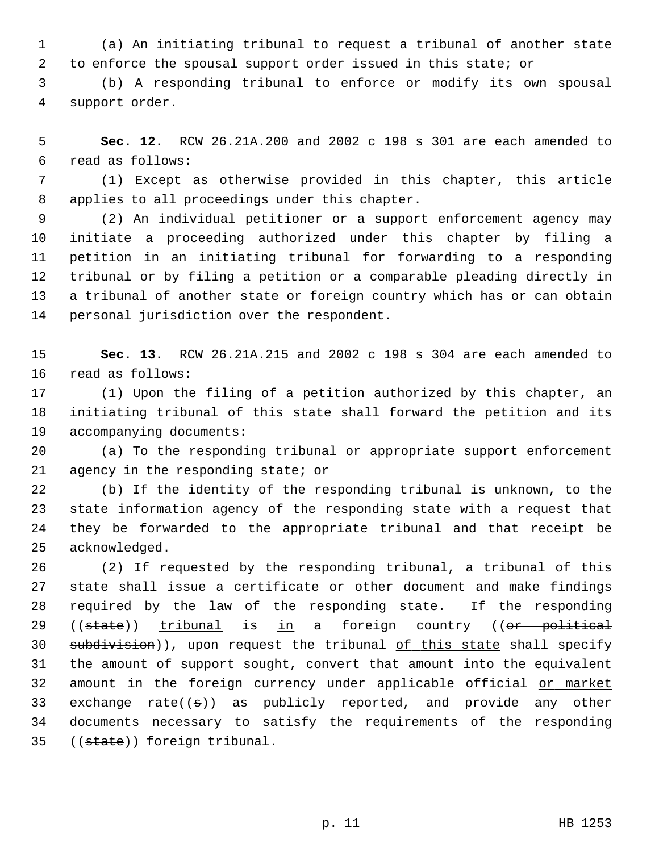1 (a) An initiating tribunal to request a tribunal of another state 2 to enforce the spousal support order issued in this state; or

 3 (b) A responding tribunal to enforce or modify its own spousal 4 support order.

 5 **Sec. 12.** RCW 26.21A.200 and 2002 c 198 s 301 are each amended to 6 read as follows:

 7 (1) Except as otherwise provided in this chapter, this article 8 applies to all proceedings under this chapter.

 9 (2) An individual petitioner or a support enforcement agency may 10 initiate a proceeding authorized under this chapter by filing a 11 petition in an initiating tribunal for forwarding to a responding 12 tribunal or by filing a petition or a comparable pleading directly in 13 a tribunal of another state or foreign country which has or can obtain 14 personal jurisdiction over the respondent.

15 **Sec. 13.** RCW 26.21A.215 and 2002 c 198 s 304 are each amended to 16 read as follows:

17 (1) Upon the filing of a petition authorized by this chapter, an 18 initiating tribunal of this state shall forward the petition and its 19 accompanying documents:

20 (a) To the responding tribunal or appropriate support enforcement 21 agency in the responding state; or

22 (b) If the identity of the responding tribunal is unknown, to the 23 state information agency of the responding state with a request that 24 they be forwarded to the appropriate tribunal and that receipt be 25 acknowledged.

26 (2) If requested by the responding tribunal, a tribunal of this 27 state shall issue a certificate or other document and make findings 28 required by the law of the responding state. If the responding 29 ((state)) tribunal is in a foreign country ((or political 30 subdivision)), upon request the tribunal of this state shall specify 31 the amount of support sought, convert that amount into the equivalent 32 amount in the foreign currency under applicable official or market 33 exchange rate( $(\pm)$ ) as publicly reported, and provide any other 34 documents necessary to satisfy the requirements of the responding 35 ((state)) foreign tribunal.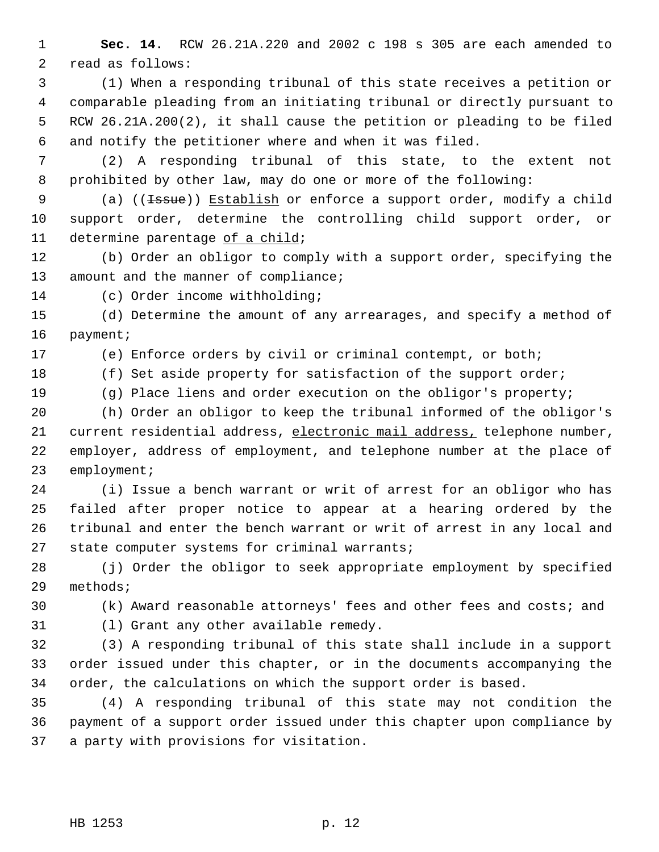1 **Sec. 14.** RCW 26.21A.220 and 2002 c 198 s 305 are each amended to 2 read as follows:

 3 (1) When a responding tribunal of this state receives a petition or 4 comparable pleading from an initiating tribunal or directly pursuant to 5 RCW 26.21A.200(2), it shall cause the petition or pleading to be filed 6 and notify the petitioner where and when it was filed.

 7 (2) A responding tribunal of this state, to the extent not 8 prohibited by other law, may do one or more of the following:

9 (a) ((<del>Issue</del>)) Establish or enforce a support order, modify a child 10 support order, determine the controlling child support order, or 11 determine parentage of a child;

12 (b) Order an obligor to comply with a support order, specifying the 13 amount and the manner of compliance;

14 (c) Order income withholding;

15 (d) Determine the amount of any arrearages, and specify a method of 16 payment;

17 (e) Enforce orders by civil or criminal contempt, or both;

18 (f) Set aside property for satisfaction of the support order;

19 (g) Place liens and order execution on the obligor's property;

20 (h) Order an obligor to keep the tribunal informed of the obligor's 21 current residential address, electronic mail address, telephone number, 22 employer, address of employment, and telephone number at the place of 23 employment;

24 (i) Issue a bench warrant or writ of arrest for an obligor who has 25 failed after proper notice to appear at a hearing ordered by the 26 tribunal and enter the bench warrant or writ of arrest in any local and 27 state computer systems for criminal warrants;

28 (j) Order the obligor to seek appropriate employment by specified 29 methods;

30 (k) Award reasonable attorneys' fees and other fees and costs; and

31 (l) Grant any other available remedy.

32 (3) A responding tribunal of this state shall include in a support 33 order issued under this chapter, or in the documents accompanying the 34 order, the calculations on which the support order is based.

35 (4) A responding tribunal of this state may not condition the 36 payment of a support order issued under this chapter upon compliance by 37 a party with provisions for visitation.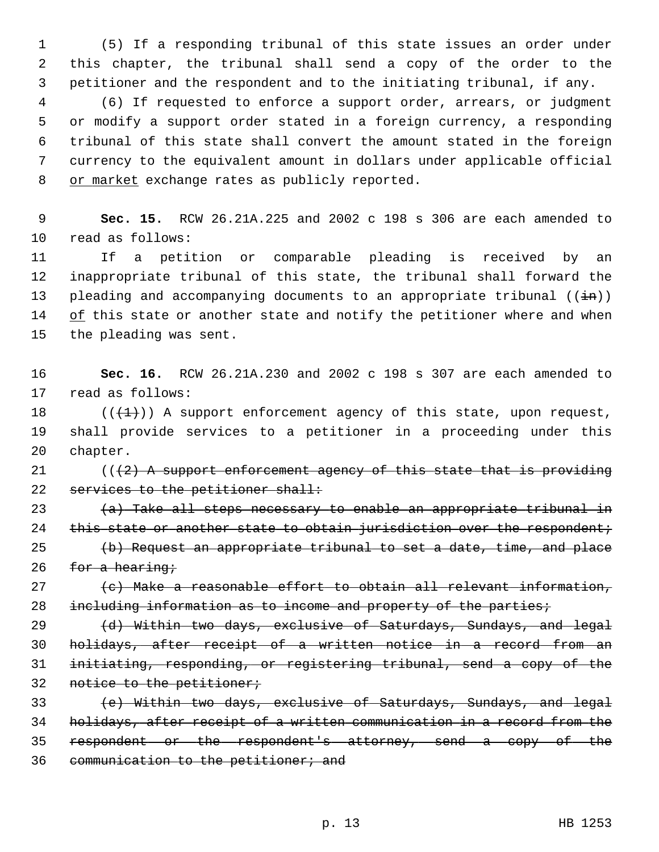1 (5) If a responding tribunal of this state issues an order under 2 this chapter, the tribunal shall send a copy of the order to the 3 petitioner and the respondent and to the initiating tribunal, if any.

 4 (6) If requested to enforce a support order, arrears, or judgment 5 or modify a support order stated in a foreign currency, a responding 6 tribunal of this state shall convert the amount stated in the foreign 7 currency to the equivalent amount in dollars under applicable official 8 or market exchange rates as publicly reported.

 9 **Sec. 15.** RCW 26.21A.225 and 2002 c 198 s 306 are each amended to 10 read as follows:

11 If a petition or comparable pleading is received by an 12 inappropriate tribunal of this state, the tribunal shall forward the 13 pleading and accompanying documents to an appropriate tribunal  $((\frac{1}{n}))$ 14 of this state or another state and notify the petitioner where and when 15 the pleading was sent.

16 **Sec. 16.** RCW 26.21A.230 and 2002 c 198 s 307 are each amended to 17 read as follows:

18  $((\{+1\})$  A support enforcement agency of this state, upon request, 19 shall provide services to a petitioner in a proceeding under this 20 chapter.

21  $((2)$  A support enforcement agency of this state that is providing 22 services to the petitioner shall:

23  $(a)$  Take all steps necessary to enable an appropriate tribunal in 24 this state or another state to obtain jurisdiction over the respondent; 25  $(b)$  Request an appropriate tribunal to set a date, time, and place

26  $f$  for a hearing;

27 (c) Make a reasonable effort to obtain all relevant information, 28 including information as to income and property of the parties;

 (d) Within two days, exclusive of Saturdays, Sundays, and legal holidays, after receipt of a written notice in a record from an initiating, responding, or registering tribunal, send a copy of the 32 notice to the petitioner;

 (e) Within two days, exclusive of Saturdays, Sundays, and legal holidays, after receipt of a written communication in a record from the respondent or the respondent's attorney, send a copy of the communication to the petitioner; and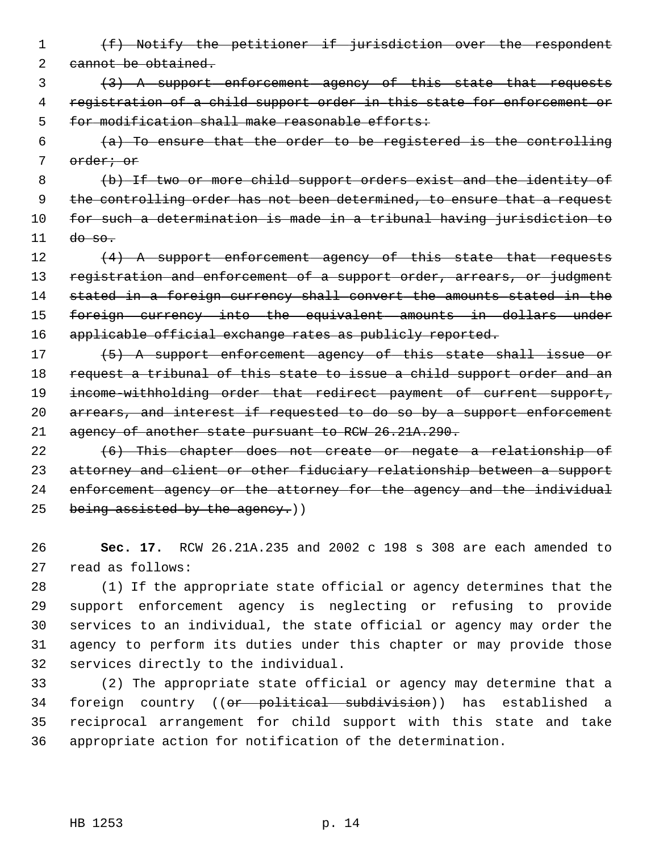- 1 (f) Notify the petitioner if jurisdiction over the respondent 2 cannot be obtained.
- 3 (3) A support enforcement agency of this state that requests 4 registration of a child support order in this state for enforcement or 5 for modification shall make reasonable efforts:
- $6$  (a) To ensure that the order to be registered is the controlling 7 order; or
- 8 (b) If two or more child support orders exist and the identity of 9 the controlling order has not been determined, to ensure that a request 10 for such a determination is made in a tribunal having jurisdiction to  $11$  do so.
- 12 (4) A support enforcement agency of this state that requests 13 registration and enforcement of a support order, arrears, or judgment 14 stated in a foreign currency shall convert the amounts stated in the 15 foreign currency into the equivalent amounts in dollars under 16 applicable official exchange rates as publicly reported.
- 17 (5) A support enforcement agency of this state shall issue or 18 request a tribunal of this state to issue a child support order and an 19 income-withholding order that redirect payment of current support, 20 arrears, and interest if requested to do so by a support enforcement 21 agency of another state pursuant to RCW 26.21A.290.
- 22 (6) This chapter does not create or negate a relationship of 23 attorney and client or other fiduciary relationship between a support 24 enforcement agency or the attorney for the agency and the individual 25 being assisted by the agency.)
- 26 **Sec. 17.** RCW 26.21A.235 and 2002 c 198 s 308 are each amended to 27 read as follows:
- 28 (1) If the appropriate state official or agency determines that the 29 support enforcement agency is neglecting or refusing to provide 30 services to an individual, the state official or agency may order the 31 agency to perform its duties under this chapter or may provide those 32 services directly to the individual.
- 33 (2) The appropriate state official or agency may determine that a 34 foreign country ((or political subdivision)) has established a 35 reciprocal arrangement for child support with this state and take 36 appropriate action for notification of the determination.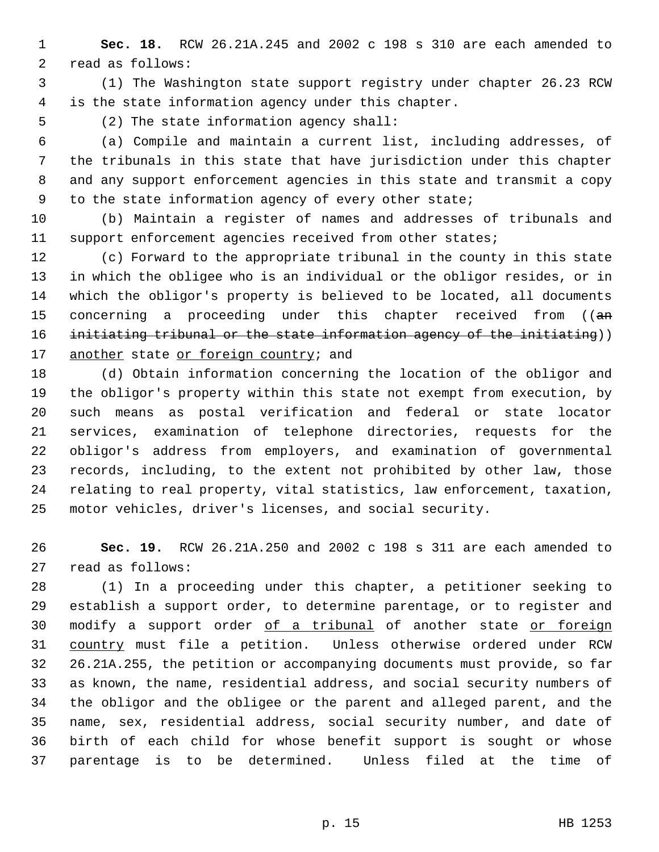1 **Sec. 18.** RCW 26.21A.245 and 2002 c 198 s 310 are each amended to 2 read as follows:

 3 (1) The Washington state support registry under chapter 26.23 RCW 4 is the state information agency under this chapter.

5 (2) The state information agency shall:

 6 (a) Compile and maintain a current list, including addresses, of 7 the tribunals in this state that have jurisdiction under this chapter 8 and any support enforcement agencies in this state and transmit a copy 9 to the state information agency of every other state;

10 (b) Maintain a register of names and addresses of tribunals and 11 support enforcement agencies received from other states;

12 (c) Forward to the appropriate tribunal in the county in this state 13 in which the obligee who is an individual or the obligor resides, or in 14 which the obligor's property is believed to be located, all documents 15 concerning a proceeding under this chapter received from ((an 16 initiating tribunal or the state information agency of the initiating)) 17 another state or foreign country; and

18 (d) Obtain information concerning the location of the obligor and 19 the obligor's property within this state not exempt from execution, by 20 such means as postal verification and federal or state locator 21 services, examination of telephone directories, requests for the 22 obligor's address from employers, and examination of governmental 23 records, including, to the extent not prohibited by other law, those 24 relating to real property, vital statistics, law enforcement, taxation, 25 motor vehicles, driver's licenses, and social security.

26 **Sec. 19.** RCW 26.21A.250 and 2002 c 198 s 311 are each amended to 27 read as follows:

28 (1) In a proceeding under this chapter, a petitioner seeking to 29 establish a support order, to determine parentage, or to register and 30 modify a support order of a tribunal of another state or foreign 31 country must file a petition. Unless otherwise ordered under RCW 32 26.21A.255, the petition or accompanying documents must provide, so far 33 as known, the name, residential address, and social security numbers of 34 the obligor and the obligee or the parent and alleged parent, and the 35 name, sex, residential address, social security number, and date of 36 birth of each child for whose benefit support is sought or whose 37 parentage is to be determined. Unless filed at the time of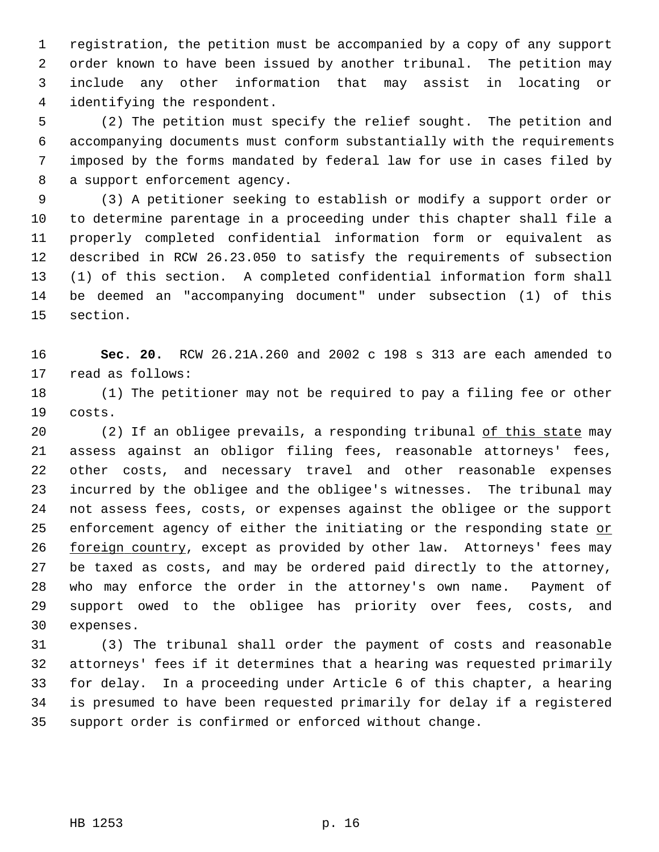1 registration, the petition must be accompanied by a copy of any support 2 order known to have been issued by another tribunal. The petition may 3 include any other information that may assist in locating or 4 identifying the respondent.

 5 (2) The petition must specify the relief sought. The petition and 6 accompanying documents must conform substantially with the requirements 7 imposed by the forms mandated by federal law for use in cases filed by 8 a support enforcement agency.

 9 (3) A petitioner seeking to establish or modify a support order or 10 to determine parentage in a proceeding under this chapter shall file a 11 properly completed confidential information form or equivalent as 12 described in RCW 26.23.050 to satisfy the requirements of subsection 13 (1) of this section. A completed confidential information form shall 14 be deemed an "accompanying document" under subsection (1) of this 15 section.

16 **Sec. 20.** RCW 26.21A.260 and 2002 c 198 s 313 are each amended to 17 read as follows:

18 (1) The petitioner may not be required to pay a filing fee or other 19 costs.

20 (2) If an obligee prevails, a responding tribunal of this state may 21 assess against an obligor filing fees, reasonable attorneys' fees, 22 other costs, and necessary travel and other reasonable expenses 23 incurred by the obligee and the obligee's witnesses. The tribunal may 24 not assess fees, costs, or expenses against the obligee or the support 25 enforcement agency of either the initiating or the responding state or 26 foreign country, except as provided by other law. Attorneys' fees may 27 be taxed as costs, and may be ordered paid directly to the attorney, 28 who may enforce the order in the attorney's own name. Payment of 29 support owed to the obligee has priority over fees, costs, and 30 expenses.

31 (3) The tribunal shall order the payment of costs and reasonable 32 attorneys' fees if it determines that a hearing was requested primarily 33 for delay. In a proceeding under Article 6 of this chapter, a hearing 34 is presumed to have been requested primarily for delay if a registered 35 support order is confirmed or enforced without change.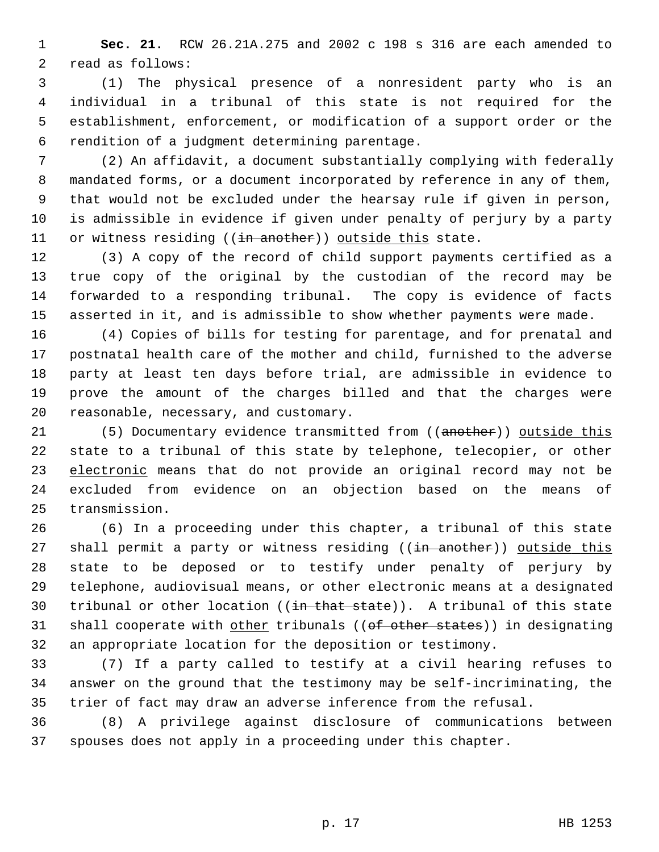1 **Sec. 21.** RCW 26.21A.275 and 2002 c 198 s 316 are each amended to 2 read as follows:

 3 (1) The physical presence of a nonresident party who is an 4 individual in a tribunal of this state is not required for the 5 establishment, enforcement, or modification of a support order or the 6 rendition of a judgment determining parentage.

 7 (2) An affidavit, a document substantially complying with federally 8 mandated forms, or a document incorporated by reference in any of them, 9 that would not be excluded under the hearsay rule if given in person, 10 is admissible in evidence if given under penalty of perjury by a party 11 or witness residing ((in another)) outside this state.

12 (3) A copy of the record of child support payments certified as a 13 true copy of the original by the custodian of the record may be 14 forwarded to a responding tribunal. The copy is evidence of facts 15 asserted in it, and is admissible to show whether payments were made.

16 (4) Copies of bills for testing for parentage, and for prenatal and 17 postnatal health care of the mother and child, furnished to the adverse 18 party at least ten days before trial, are admissible in evidence to 19 prove the amount of the charges billed and that the charges were 20 reasonable, necessary, and customary.

21 (5) Documentary evidence transmitted from ((another)) outside this 22 state to a tribunal of this state by telephone, telecopier, or other 23 electronic means that do not provide an original record may not be 24 excluded from evidence on an objection based on the means of 25 transmission.

26 (6) In a proceeding under this chapter, a tribunal of this state 27 shall permit a party or witness residing ((in another)) outside this 28 state to be deposed or to testify under penalty of perjury by 29 telephone, audiovisual means, or other electronic means at a designated 30 tribunal or other location  $((\frac{in}{{\text{that state}}}))$ . A tribunal of this state 31 shall cooperate with other tribunals ((of other states)) in designating 32 an appropriate location for the deposition or testimony.

33 (7) If a party called to testify at a civil hearing refuses to 34 answer on the ground that the testimony may be self-incriminating, the 35 trier of fact may draw an adverse inference from the refusal.

36 (8) A privilege against disclosure of communications between 37 spouses does not apply in a proceeding under this chapter.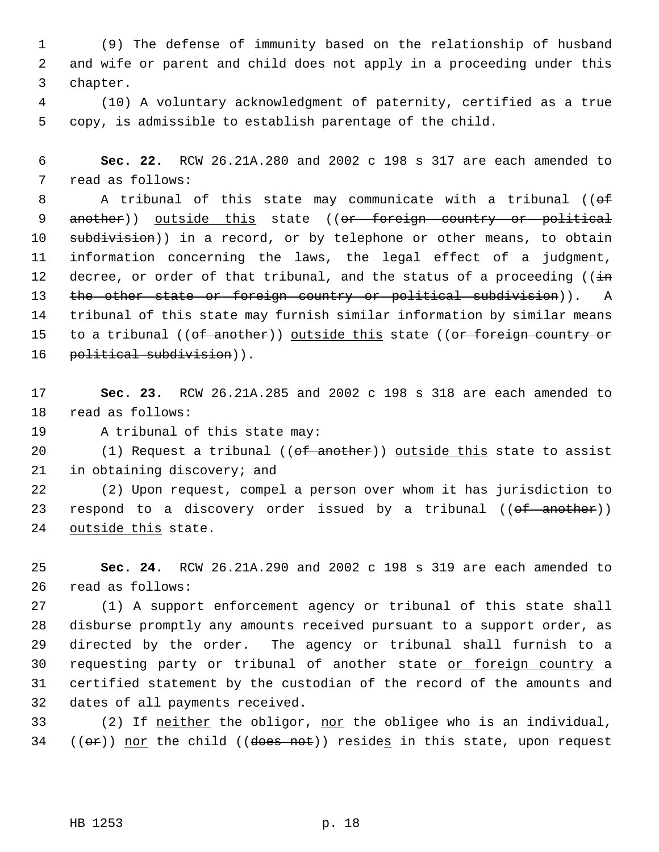1 (9) The defense of immunity based on the relationship of husband 2 and wife or parent and child does not apply in a proceeding under this 3 chapter.

 4 (10) A voluntary acknowledgment of paternity, certified as a true 5 copy, is admissible to establish parentage of the child.

 6 **Sec. 22.** RCW 26.21A.280 and 2002 c 198 s 317 are each amended to 7 read as follows:

8 A tribunal of this state may communicate with a tribunal (( $\theta$ f) 9 another)) outside this state ((or foreign country or political 10 subdivision)) in a record, or by telephone or other means, to obtain 11 information concerning the laws, the legal effect of a judgment, 12 decree, or order of that tribunal, and the status of a proceeding ( $(i\text{in})$ 13 the other state or foreign country or political subdivision)). A 14 tribunal of this state may furnish similar information by similar means 15 to a tribunal  $((of another))$  outside this state  $((or foreign country or$ 16 political subdivision)).

17 **Sec. 23.** RCW 26.21A.285 and 2002 c 198 s 318 are each amended to 18 read as follows:

19 A tribunal of this state may:

20  $(1)$  Request a tribunal (( $ef$  another)) outside this state to assist 21 in obtaining discovery; and

22 (2) Upon request, compel a person over whom it has jurisdiction to 23 respond to a discovery order issued by a tribunal  $((\text{of another}))$ 24 outside this state.

25 **Sec. 24.** RCW 26.21A.290 and 2002 c 198 s 319 are each amended to 26 read as follows:

27 (1) A support enforcement agency or tribunal of this state shall 28 disburse promptly any amounts received pursuant to a support order, as 29 directed by the order. The agency or tribunal shall furnish to a 30 requesting party or tribunal of another state or foreign country a 31 certified statement by the custodian of the record of the amounts and 32 dates of all payments received.

33 (2) If neither the obligor, nor the obligee who is an individual,  $34$  (( $\Theta$ r)) nor the child (( $\theta$ does not)) resides in this state, upon request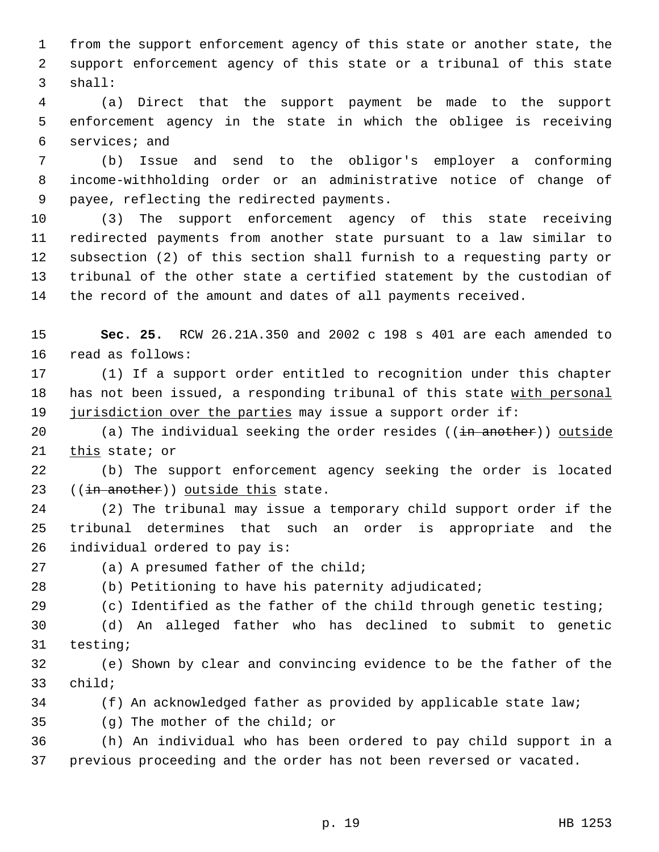1 from the support enforcement agency of this state or another state, the 2 support enforcement agency of this state or a tribunal of this state 3 shall:

 4 (a) Direct that the support payment be made to the support 5 enforcement agency in the state in which the obligee is receiving 6 services; and

 7 (b) Issue and send to the obligor's employer a conforming 8 income-withholding order or an administrative notice of change of 9 payee, reflecting the redirected payments.

10 (3) The support enforcement agency of this state receiving 11 redirected payments from another state pursuant to a law similar to 12 subsection (2) of this section shall furnish to a requesting party or 13 tribunal of the other state a certified statement by the custodian of 14 the record of the amount and dates of all payments received.

15 **Sec. 25.** RCW 26.21A.350 and 2002 c 198 s 401 are each amended to 16 read as follows:

17 (1) If a support order entitled to recognition under this chapter 18 has not been issued, a responding tribunal of this state with personal 19 jurisdiction over the parties may issue a support order if:

20 (a) The individual seeking the order resides ((in another)) outside 21 this state; or

22 (b) The support enforcement agency seeking the order is located 23  $((\text{in another}))$  outside this state.

24 (2) The tribunal may issue a temporary child support order if the 25 tribunal determines that such an order is appropriate and the 26 individual ordered to pay is:

27 (a) A presumed father of the child;

28 (b) Petitioning to have his paternity adjudicated;

29 (c) Identified as the father of the child through genetic testing;

30 (d) An alleged father who has declined to submit to genetic 31 testing;

32 (e) Shown by clear and convincing evidence to be the father of the 33 child;

34 (f) An acknowledged father as provided by applicable state law;

35 (g) The mother of the child; or

36 (h) An individual who has been ordered to pay child support in a 37 previous proceeding and the order has not been reversed or vacated.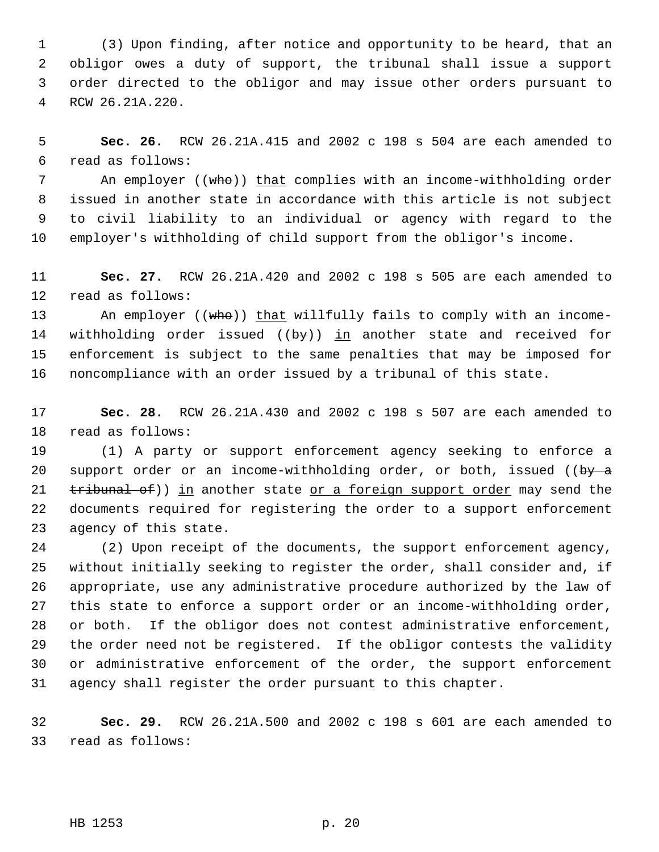1 (3) Upon finding, after notice and opportunity to be heard, that an 2 obligor owes a duty of support, the tribunal shall issue a support 3 order directed to the obligor and may issue other orders pursuant to 4 RCW 26.21A.220.

 5 **Sec. 26.** RCW 26.21A.415 and 2002 c 198 s 504 are each amended to 6 read as follows:

7 An employer ((who)) that complies with an income-withholding order 8 issued in another state in accordance with this article is not subject 9 to civil liability to an individual or agency with regard to the 10 employer's withholding of child support from the obligor's income.

11 **Sec. 27.** RCW 26.21A.420 and 2002 c 198 s 505 are each amended to 12 read as follows:

13 An employer ((who)) that willfully fails to comply with an income-14 withholding order issued  $((by))$  in another state and received for 15 enforcement is subject to the same penalties that may be imposed for 16 noncompliance with an order issued by a tribunal of this state.

17 **Sec. 28.** RCW 26.21A.430 and 2002 c 198 s 507 are each amended to 18 read as follows:

19 (1) A party or support enforcement agency seeking to enforce a 20 support order or an income-withholding order, or both, issued ((by  $a$ ) 21  $t$  tribunal of)) in another state or a foreign support order may send the 22 documents required for registering the order to a support enforcement 23 agency of this state.

24 (2) Upon receipt of the documents, the support enforcement agency, 25 without initially seeking to register the order, shall consider and, if 26 appropriate, use any administrative procedure authorized by the law of 27 this state to enforce a support order or an income-withholding order, 28 or both. If the obligor does not contest administrative enforcement, 29 the order need not be registered. If the obligor contests the validity 30 or administrative enforcement of the order, the support enforcement 31 agency shall register the order pursuant to this chapter.

32 **Sec. 29.** RCW 26.21A.500 and 2002 c 198 s 601 are each amended to 33 read as follows:

HB 1253 p. 20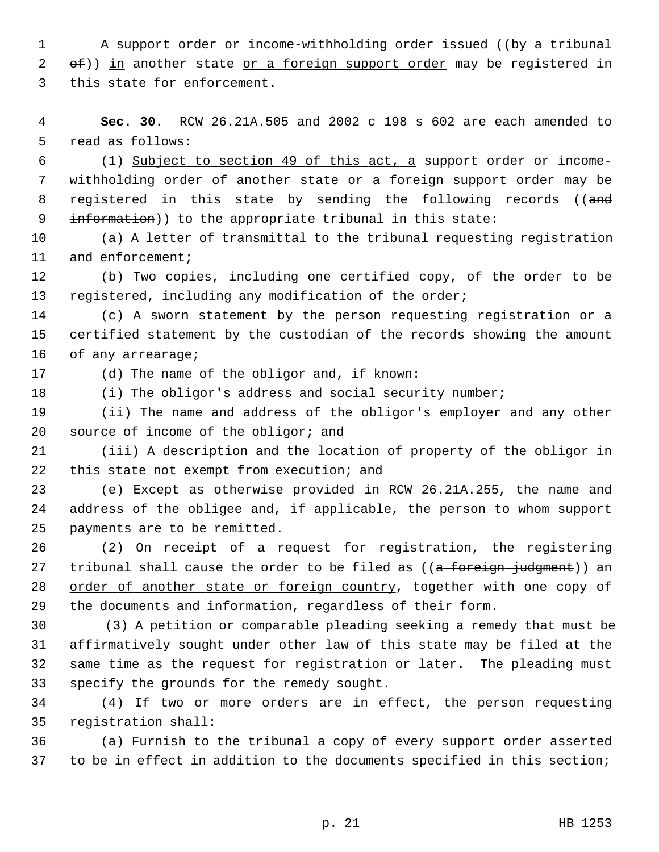1 A support order or income-withholding order issued ((by a tribunal  $2$  of)) in another state or a foreign support order may be registered in 3 this state for enforcement.

 4 **Sec. 30.** RCW 26.21A.505 and 2002 c 198 s 602 are each amended to 5 read as follows:

 6 (1) Subject to section 49 of this act, a support order or income- 7 withholding order of another state or a foreign support order may be 8 registered in this state by sending the following records ((and 9 information)) to the appropriate tribunal in this state:

10 (a) A letter of transmittal to the tribunal requesting registration 11 and enforcement;

12 (b) Two copies, including one certified copy, of the order to be 13 registered, including any modification of the order;

14 (c) A sworn statement by the person requesting registration or a 15 certified statement by the custodian of the records showing the amount 16 of any arrearage;

17 (d) The name of the obligor and, if known:

18 (i) The obligor's address and social security number;

19 (ii) The name and address of the obligor's employer and any other 20 source of income of the obligor; and

21 (iii) A description and the location of property of the obligor in 22 this state not exempt from execution; and

23 (e) Except as otherwise provided in RCW 26.21A.255, the name and 24 address of the obligee and, if applicable, the person to whom support 25 payments are to be remitted.

26 (2) On receipt of a request for registration, the registering 27 tribunal shall cause the order to be filed as  $((a - foreq n - judgment))$  an 28 order of another state or foreign country, together with one copy of 29 the documents and information, regardless of their form.

30 (3) A petition or comparable pleading seeking a remedy that must be 31 affirmatively sought under other law of this state may be filed at the 32 same time as the request for registration or later. The pleading must 33 specify the grounds for the remedy sought.

34 (4) If two or more orders are in effect, the person requesting 35 registration shall:

36 (a) Furnish to the tribunal a copy of every support order asserted 37 to be in effect in addition to the documents specified in this section;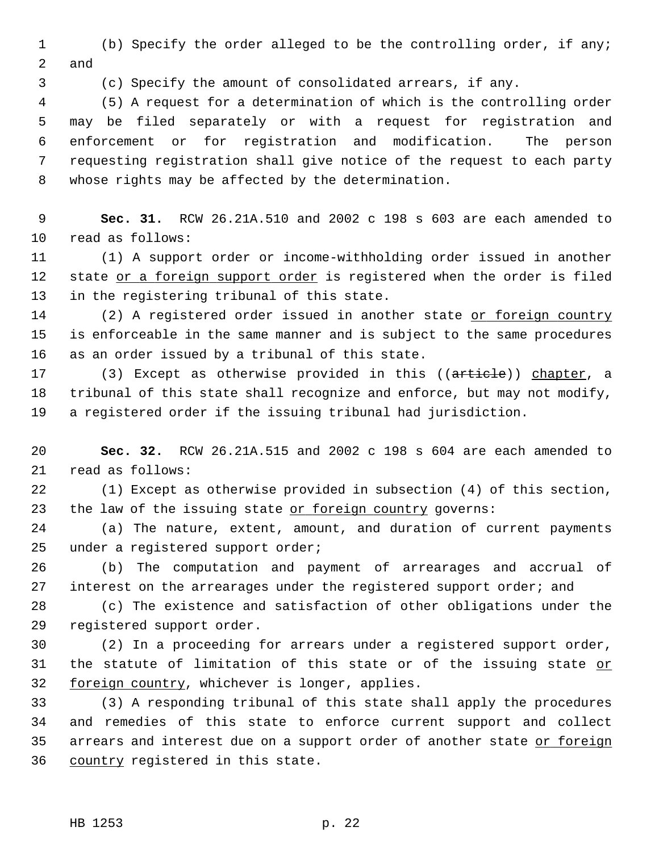1 (b) Specify the order alleged to be the controlling order, if any; 2 and

3 (c) Specify the amount of consolidated arrears, if any.

 4 (5) A request for a determination of which is the controlling order 5 may be filed separately or with a request for registration and 6 enforcement or for registration and modification. The person 7 requesting registration shall give notice of the request to each party 8 whose rights may be affected by the determination.

 9 **Sec. 31.** RCW 26.21A.510 and 2002 c 198 s 603 are each amended to 10 read as follows:

11 (1) A support order or income-withholding order issued in another 12 state or a foreign support order is registered when the order is filed 13 in the registering tribunal of this state.

14 (2) A registered order issued in another state or foreign country 15 is enforceable in the same manner and is subject to the same procedures 16 as an order issued by a tribunal of this state.

17 (3) Except as otherwise provided in this ((article)) chapter, a 18 tribunal of this state shall recognize and enforce, but may not modify, 19 a registered order if the issuing tribunal had jurisdiction.

20 **Sec. 32.** RCW 26.21A.515 and 2002 c 198 s 604 are each amended to 21 read as follows:

22 (1) Except as otherwise provided in subsection (4) of this section, 23 the law of the issuing state or foreign country governs:

24 (a) The nature, extent, amount, and duration of current payments 25 under a registered support order;

26 (b) The computation and payment of arrearages and accrual of 27 interest on the arrearages under the registered support order; and

28 (c) The existence and satisfaction of other obligations under the 29 registered support order.

30 (2) In a proceeding for arrears under a registered support order, 31 the statute of limitation of this state or of the issuing state or 32 foreign country, whichever is longer, applies.

33 (3) A responding tribunal of this state shall apply the procedures 34 and remedies of this state to enforce current support and collect 35 arrears and interest due on a support order of another state or foreign 36 country registered in this state.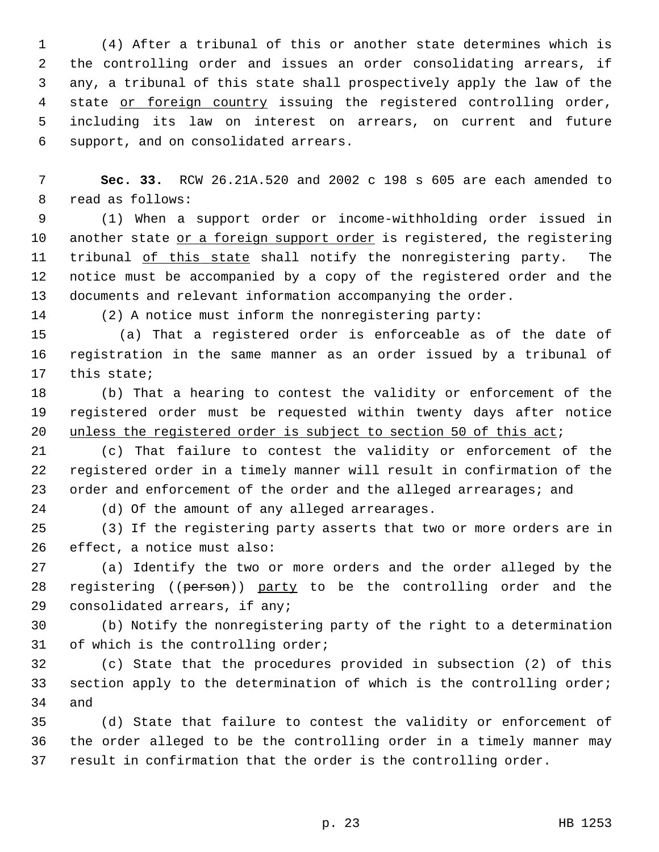1 (4) After a tribunal of this or another state determines which is 2 the controlling order and issues an order consolidating arrears, if 3 any, a tribunal of this state shall prospectively apply the law of the 4 state or foreign country issuing the registered controlling order, 5 including its law on interest on arrears, on current and future 6 support, and on consolidated arrears.

 7 **Sec. 33.** RCW 26.21A.520 and 2002 c 198 s 605 are each amended to 8 read as follows:

 9 (1) When a support order or income-withholding order issued in 10 another state or a foreign support order is registered, the registering 11 tribunal of this state shall notify the nonregistering party. The 12 notice must be accompanied by a copy of the registered order and the 13 documents and relevant information accompanying the order.

14 (2) A notice must inform the nonregistering party:

15 (a) That a registered order is enforceable as of the date of 16 registration in the same manner as an order issued by a tribunal of 17 this state;

18 (b) That a hearing to contest the validity or enforcement of the 19 registered order must be requested within twenty days after notice 20 unless the registered order is subject to section 50 of this act;

21 (c) That failure to contest the validity or enforcement of the 22 registered order in a timely manner will result in confirmation of the 23 order and enforcement of the order and the alleged arrearages; and

24 (d) Of the amount of any alleged arrearages.

25 (3) If the registering party asserts that two or more orders are in 26 effect, a notice must also:

27 (a) Identify the two or more orders and the order alleged by the 28 registering ((person)) party to be the controlling order and the 29 consolidated arrears, if any;

30 (b) Notify the nonregistering party of the right to a determination 31 of which is the controlling order;

32 (c) State that the procedures provided in subsection (2) of this 33 section apply to the determination of which is the controlling order; 34 and

35 (d) State that failure to contest the validity or enforcement of 36 the order alleged to be the controlling order in a timely manner may 37 result in confirmation that the order is the controlling order.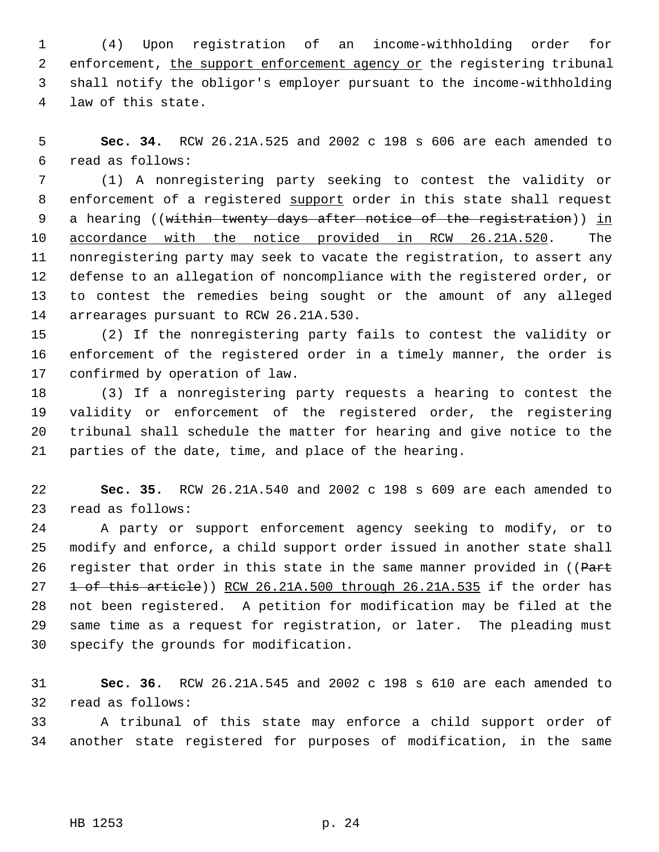1 (4) Upon registration of an income-withholding order for 2 enforcement, the support enforcement agency or the registering tribunal 3 shall notify the obligor's employer pursuant to the income-withholding 4 law of this state.

 5 **Sec. 34.** RCW 26.21A.525 and 2002 c 198 s 606 are each amended to 6 read as follows:

 7 (1) A nonregistering party seeking to contest the validity or 8 enforcement of a registered support order in this state shall request 9 a hearing ((within twenty days after notice of the registration)) in 10 accordance with the notice provided in RCW 26.21A.520. The 11 nonregistering party may seek to vacate the registration, to assert any 12 defense to an allegation of noncompliance with the registered order, or 13 to contest the remedies being sought or the amount of any alleged 14 arrearages pursuant to RCW 26.21A.530.

15 (2) If the nonregistering party fails to contest the validity or 16 enforcement of the registered order in a timely manner, the order is 17 confirmed by operation of law.

18 (3) If a nonregistering party requests a hearing to contest the 19 validity or enforcement of the registered order, the registering 20 tribunal shall schedule the matter for hearing and give notice to the 21 parties of the date, time, and place of the hearing.

22 **Sec. 35.** RCW 26.21A.540 and 2002 c 198 s 609 are each amended to 23 read as follows:

24 A party or support enforcement agency seeking to modify, or to 25 modify and enforce, a child support order issued in another state shall 26 register that order in this state in the same manner provided in ((Part 27  $\pm$  of this article)) RCW 26.21A.500 through 26.21A.535 if the order has 28 not been registered. A petition for modification may be filed at the 29 same time as a request for registration, or later. The pleading must 30 specify the grounds for modification.

31 **Sec. 36.** RCW 26.21A.545 and 2002 c 198 s 610 are each amended to 32 read as follows:

33 A tribunal of this state may enforce a child support order of 34 another state registered for purposes of modification, in the same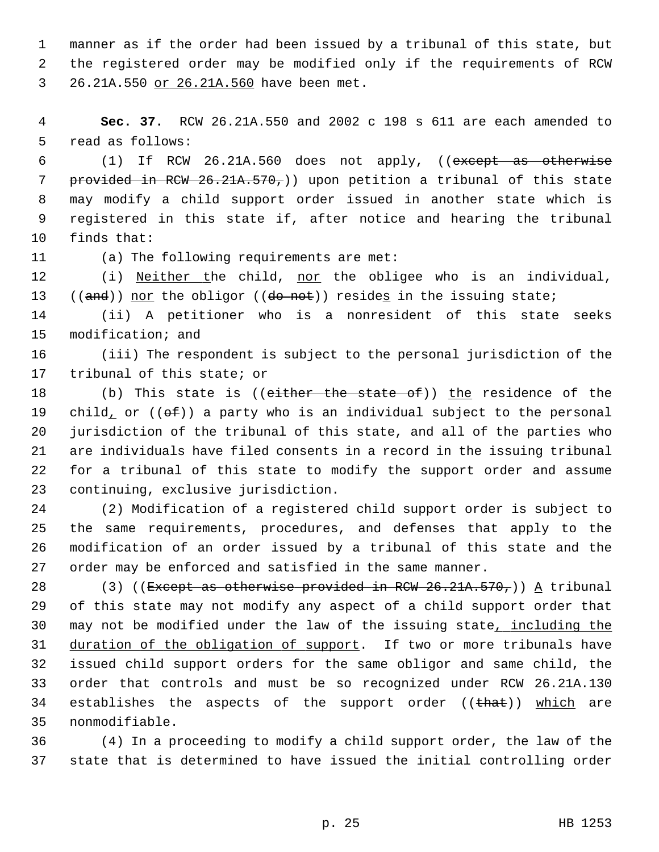1 manner as if the order had been issued by a tribunal of this state, but 2 the registered order may be modified only if the requirements of RCW 3 26.21A.550 or 26.21A.560 have been met.

 4 **Sec. 37.** RCW 26.21A.550 and 2002 c 198 s 611 are each amended to 5 read as follows:

 6 (1) If RCW 26.21A.560 does not apply, ((except as otherwise 7 provided in RCW 26.21A.570,)) upon petition a tribunal of this state 8 may modify a child support order issued in another state which is 9 registered in this state if, after notice and hearing the tribunal 10 finds that:

11 (a) The following requirements are met:

12 (i) Neither the child, nor the obligee who is an individual, 13 ((and)) nor the obligor ((do not)) resides in the issuing state;

14 (ii) A petitioner who is a nonresident of this state seeks 15 modification; and

16 (iii) The respondent is subject to the personal jurisdiction of the 17 tribunal of this state; or

18 (b) This state is ((either the state of)) the residence of the 19 child, or  $((\theta \oplus f))$  a party who is an individual subject to the personal 20 jurisdiction of the tribunal of this state, and all of the parties who 21 are individuals have filed consents in a record in the issuing tribunal 22 for a tribunal of this state to modify the support order and assume 23 continuing, exclusive jurisdiction.

24 (2) Modification of a registered child support order is subject to 25 the same requirements, procedures, and defenses that apply to the 26 modification of an order issued by a tribunal of this state and the 27 order may be enforced and satisfied in the same manner.

28 (3) ((Except as otherwise provided in RCW 26.21A.570,)) A tribunal 29 of this state may not modify any aspect of a child support order that 30 may not be modified under the law of the issuing state, including the 31 duration of the obligation of support. If two or more tribunals have 32 issued child support orders for the same obligor and same child, the 33 order that controls and must be so recognized under RCW 26.21A.130 34 establishes the aspects of the support order ((that)) which are 35 nonmodifiable.

36 (4) In a proceeding to modify a child support order, the law of the 37 state that is determined to have issued the initial controlling order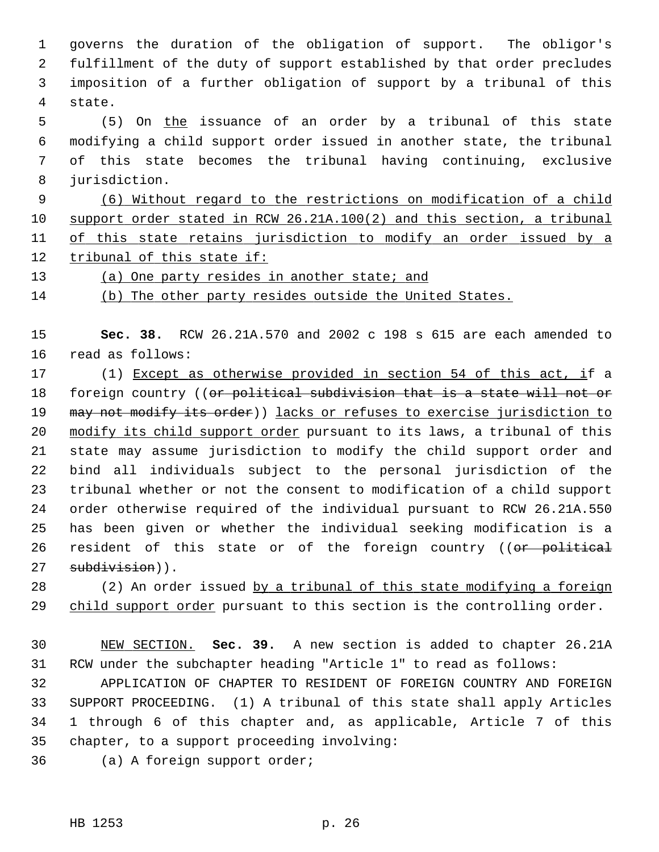1 governs the duration of the obligation of support. The obligor's 2 fulfillment of the duty of support established by that order precludes 3 imposition of a further obligation of support by a tribunal of this 4 state.

 5 (5) On the issuance of an order by a tribunal of this state 6 modifying a child support order issued in another state, the tribunal 7 of this state becomes the tribunal having continuing, exclusive 8 jurisdiction.

 (6) Without regard to the restrictions on modification of a child support order stated in RCW 26.21A.100(2) and this section, a tribunal of this state retains jurisdiction to modify an order issued by a tribunal of this state if:

13 (a) One party resides in another state; and

14 (b) The other party resides outside the United States.

15 **Sec. 38.** RCW 26.21A.570 and 2002 c 198 s 615 are each amended to 16 read as follows:

17 (1) Except as otherwise provided in section 54 of this act, if a 18 foreign country ((or political subdivision that is a state will not or 19 may not modify its order)) lacks or refuses to exercise jurisdiction to 20 modify its child support order pursuant to its laws, a tribunal of this 21 state may assume jurisdiction to modify the child support order and 22 bind all individuals subject to the personal jurisdiction of the 23 tribunal whether or not the consent to modification of a child support 24 order otherwise required of the individual pursuant to RCW 26.21A.550 25 has been given or whether the individual seeking modification is a 26 resident of this state or of the foreign country ((or political 27 subdivision)).

28 (2) An order issued by a tribunal of this state modifying a foreign 29 child support order pursuant to this section is the controlling order.

30 NEW SECTION. **Sec. 39.** A new section is added to chapter 26.21A 31 RCW under the subchapter heading "Article 1" to read as follows:

32 APPLICATION OF CHAPTER TO RESIDENT OF FOREIGN COUNTRY AND FOREIGN 33 SUPPORT PROCEEDING. (1) A tribunal of this state shall apply Articles 34 1 through 6 of this chapter and, as applicable, Article 7 of this 35 chapter, to a support proceeding involving:

36 (a) A foreign support order;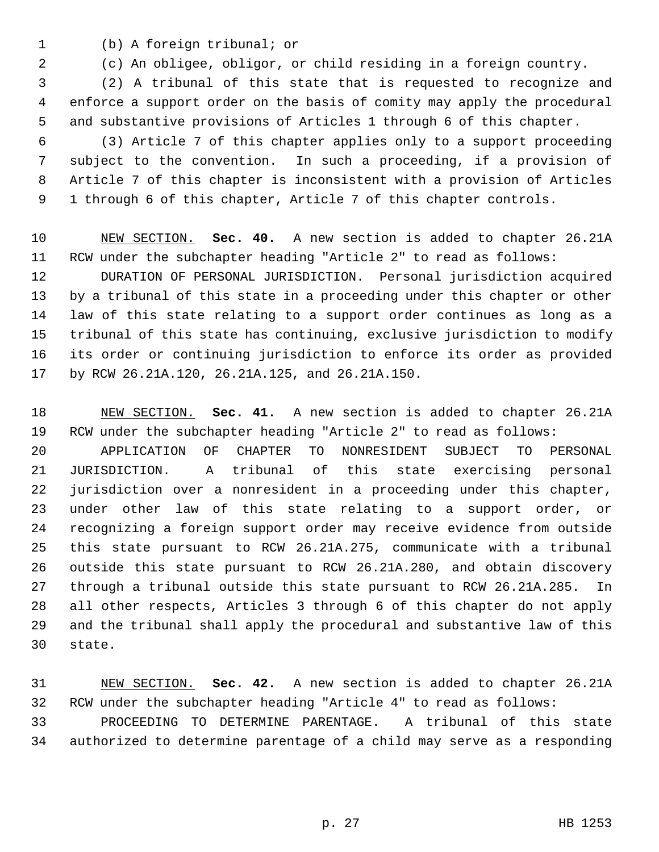- 
- 1 (b) A foreign tribunal; or

2 (c) An obligee, obligor, or child residing in a foreign country.

 3 (2) A tribunal of this state that is requested to recognize and 4 enforce a support order on the basis of comity may apply the procedural 5 and substantive provisions of Articles 1 through 6 of this chapter.

 6 (3) Article 7 of this chapter applies only to a support proceeding 7 subject to the convention. In such a proceeding, if a provision of 8 Article 7 of this chapter is inconsistent with a provision of Articles 9 1 through 6 of this chapter, Article 7 of this chapter controls.

10 NEW SECTION. **Sec. 40.** A new section is added to chapter 26.21A 11 RCW under the subchapter heading "Article 2" to read as follows:

12 DURATION OF PERSONAL JURISDICTION. Personal jurisdiction acquired 13 by a tribunal of this state in a proceeding under this chapter or other 14 law of this state relating to a support order continues as long as a 15 tribunal of this state has continuing, exclusive jurisdiction to modify 16 its order or continuing jurisdiction to enforce its order as provided 17 by RCW 26.21A.120, 26.21A.125, and 26.21A.150.

18 NEW SECTION. **Sec. 41.** A new section is added to chapter 26.21A 19 RCW under the subchapter heading "Article 2" to read as follows:

20 APPLICATION OF CHAPTER TO NONRESIDENT SUBJECT TO PERSONAL 21 JURISDICTION. A tribunal of this state exercising personal 22 jurisdiction over a nonresident in a proceeding under this chapter, 23 under other law of this state relating to a support order, or 24 recognizing a foreign support order may receive evidence from outside 25 this state pursuant to RCW 26.21A.275, communicate with a tribunal 26 outside this state pursuant to RCW 26.21A.280, and obtain discovery 27 through a tribunal outside this state pursuant to RCW 26.21A.285. In 28 all other respects, Articles 3 through 6 of this chapter do not apply 29 and the tribunal shall apply the procedural and substantive law of this 30 state.

31 NEW SECTION. **Sec. 42.** A new section is added to chapter 26.21A 32 RCW under the subchapter heading "Article 4" to read as follows: 33 PROCEEDING TO DETERMINE PARENTAGE. A tribunal of this state 34 authorized to determine parentage of a child may serve as a responding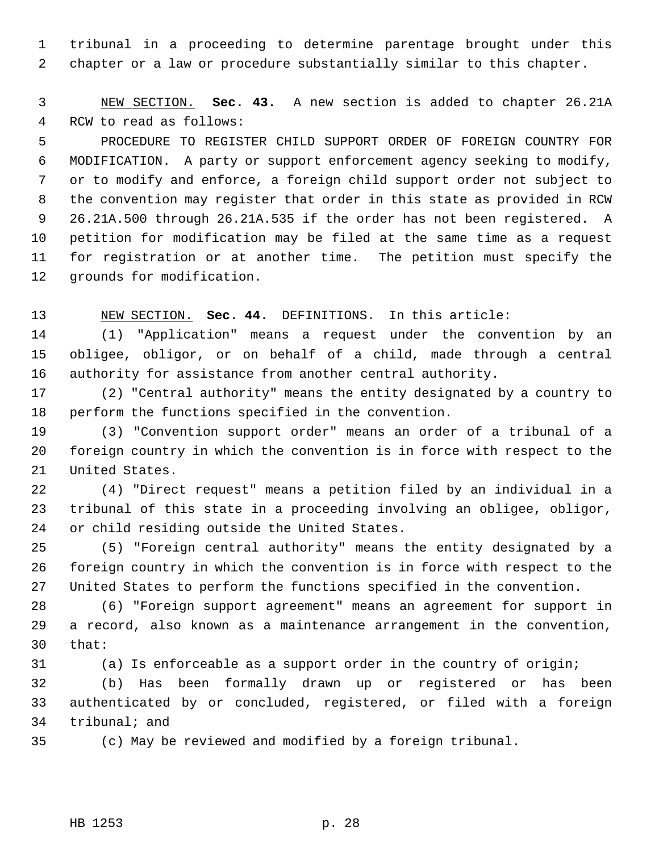1 tribunal in a proceeding to determine parentage brought under this 2 chapter or a law or procedure substantially similar to this chapter.

 3 NEW SECTION. **Sec. 43.** A new section is added to chapter 26.21A 4 RCW to read as follows:

 5 PROCEDURE TO REGISTER CHILD SUPPORT ORDER OF FOREIGN COUNTRY FOR 6 MODIFICATION. A party or support enforcement agency seeking to modify, 7 or to modify and enforce, a foreign child support order not subject to 8 the convention may register that order in this state as provided in RCW 9 26.21A.500 through 26.21A.535 if the order has not been registered. A 10 petition for modification may be filed at the same time as a request 11 for registration or at another time. The petition must specify the 12 grounds for modification.

13 NEW SECTION. **Sec. 44.** DEFINITIONS. In this article:

14 (1) "Application" means a request under the convention by an 15 obligee, obligor, or on behalf of a child, made through a central 16 authority for assistance from another central authority.

17 (2) "Central authority" means the entity designated by a country to 18 perform the functions specified in the convention.

19 (3) "Convention support order" means an order of a tribunal of a 20 foreign country in which the convention is in force with respect to the 21 United States.

22 (4) "Direct request" means a petition filed by an individual in a 23 tribunal of this state in a proceeding involving an obligee, obligor, 24 or child residing outside the United States.

25 (5) "Foreign central authority" means the entity designated by a 26 foreign country in which the convention is in force with respect to the 27 United States to perform the functions specified in the convention.

28 (6) "Foreign support agreement" means an agreement for support in 29 a record, also known as a maintenance arrangement in the convention, 30 that:

31 (a) Is enforceable as a support order in the country of origin;

32 (b) Has been formally drawn up or registered or has been 33 authenticated by or concluded, registered, or filed with a foreign 34 tribunal; and

35 (c) May be reviewed and modified by a foreign tribunal.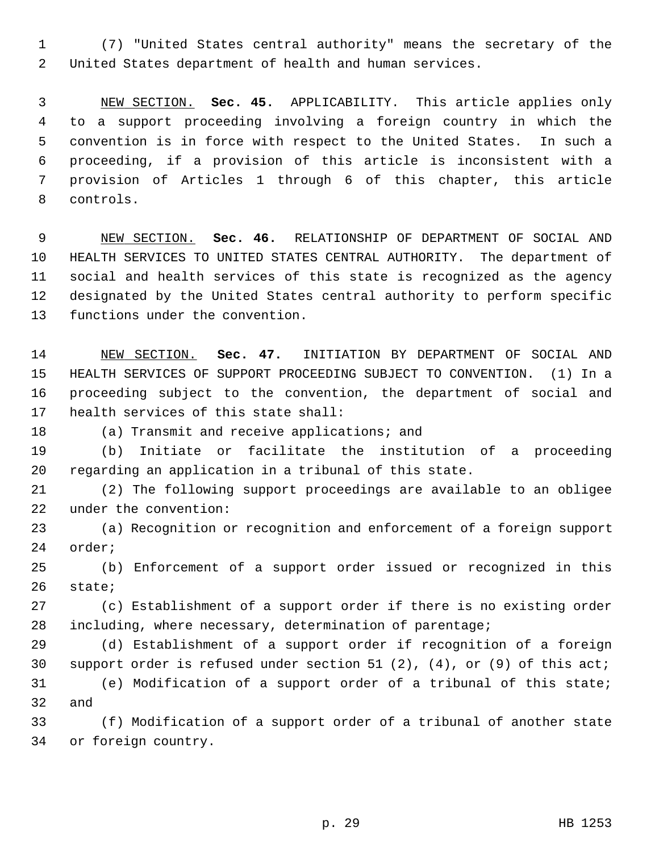1 (7) "United States central authority" means the secretary of the 2 United States department of health and human services.

 3 NEW SECTION. **Sec. 45.** APPLICABILITY. This article applies only 4 to a support proceeding involving a foreign country in which the 5 convention is in force with respect to the United States. In such a 6 proceeding, if a provision of this article is inconsistent with a 7 provision of Articles 1 through 6 of this chapter, this article 8 controls.

 9 NEW SECTION. **Sec. 46.** RELATIONSHIP OF DEPARTMENT OF SOCIAL AND 10 HEALTH SERVICES TO UNITED STATES CENTRAL AUTHORITY. The department of 11 social and health services of this state is recognized as the agency 12 designated by the United States central authority to perform specific 13 functions under the convention.

14 NEW SECTION. **Sec. 47.** INITIATION BY DEPARTMENT OF SOCIAL AND 15 HEALTH SERVICES OF SUPPORT PROCEEDING SUBJECT TO CONVENTION. (1) In a 16 proceeding subject to the convention, the department of social and 17 health services of this state shall:

18 (a) Transmit and receive applications; and

19 (b) Initiate or facilitate the institution of a proceeding 20 regarding an application in a tribunal of this state.

21 (2) The following support proceedings are available to an obligee 22 under the convention:

23 (a) Recognition or recognition and enforcement of a foreign support 24 order;

25 (b) Enforcement of a support order issued or recognized in this 26 state;

27 (c) Establishment of a support order if there is no existing order 28 including, where necessary, determination of parentage;

29 (d) Establishment of a support order if recognition of a foreign 30 support order is refused under section 51 (2), (4), or (9) of this act;

31 (e) Modification of a support order of a tribunal of this state; 32 and

33 (f) Modification of a support order of a tribunal of another state 34 or foreign country.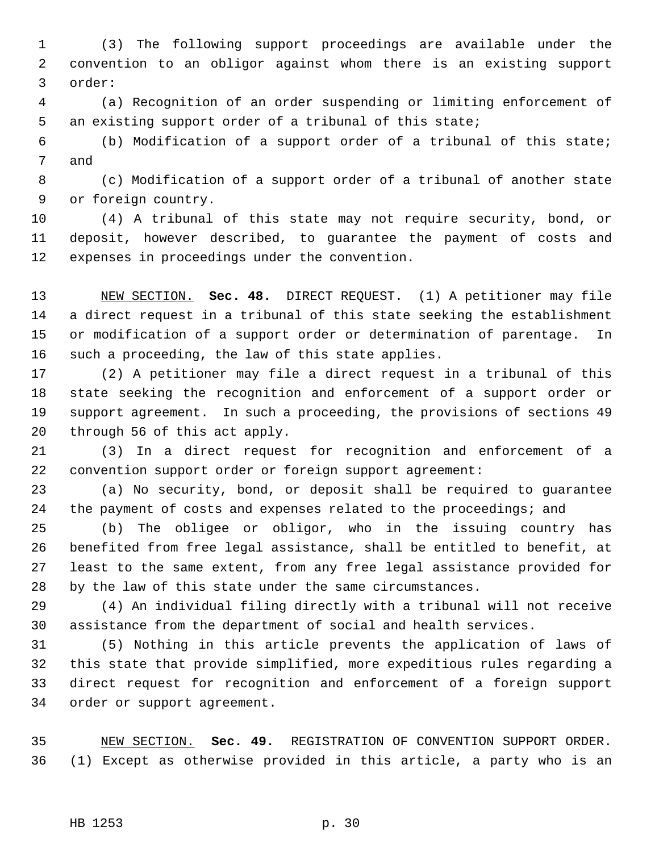1 (3) The following support proceedings are available under the 2 convention to an obligor against whom there is an existing support 3 order:

 4 (a) Recognition of an order suspending or limiting enforcement of 5 an existing support order of a tribunal of this state;

 6 (b) Modification of a support order of a tribunal of this state; 7 and

 8 (c) Modification of a support order of a tribunal of another state 9 or foreign country.

10 (4) A tribunal of this state may not require security, bond, or 11 deposit, however described, to guarantee the payment of costs and 12 expenses in proceedings under the convention.

13 NEW SECTION. **Sec. 48.** DIRECT REQUEST. (1) A petitioner may file 14 a direct request in a tribunal of this state seeking the establishment 15 or modification of a support order or determination of parentage. In 16 such a proceeding, the law of this state applies.

17 (2) A petitioner may file a direct request in a tribunal of this 18 state seeking the recognition and enforcement of a support order or 19 support agreement. In such a proceeding, the provisions of sections 49 20 through 56 of this act apply.

21 (3) In a direct request for recognition and enforcement of a 22 convention support order or foreign support agreement:

23 (a) No security, bond, or deposit shall be required to guarantee 24 the payment of costs and expenses related to the proceedings; and

25 (b) The obligee or obligor, who in the issuing country has 26 benefited from free legal assistance, shall be entitled to benefit, at 27 least to the same extent, from any free legal assistance provided for 28 by the law of this state under the same circumstances.

29 (4) An individual filing directly with a tribunal will not receive 30 assistance from the department of social and health services.

31 (5) Nothing in this article prevents the application of laws of 32 this state that provide simplified, more expeditious rules regarding a 33 direct request for recognition and enforcement of a foreign support 34 order or support agreement.

35 NEW SECTION. **Sec. 49.** REGISTRATION OF CONVENTION SUPPORT ORDER. 36 (1) Except as otherwise provided in this article, a party who is an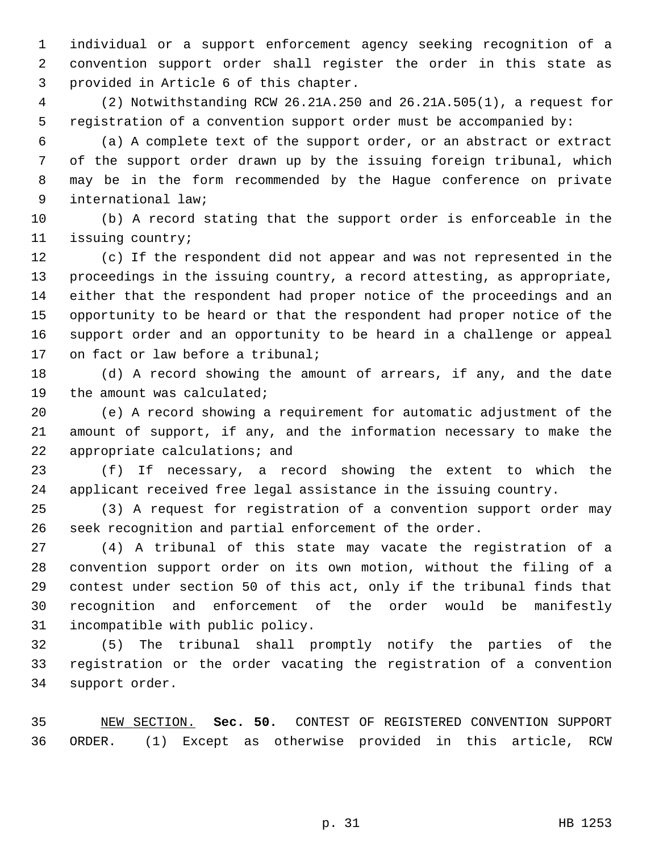1 individual or a support enforcement agency seeking recognition of a 2 convention support order shall register the order in this state as 3 provided in Article 6 of this chapter.

 4 (2) Notwithstanding RCW 26.21A.250 and 26.21A.505(1), a request for 5 registration of a convention support order must be accompanied by:

 6 (a) A complete text of the support order, or an abstract or extract 7 of the support order drawn up by the issuing foreign tribunal, which 8 may be in the form recommended by the Hague conference on private 9 international law;

10 (b) A record stating that the support order is enforceable in the 11 issuing country;

12 (c) If the respondent did not appear and was not represented in the 13 proceedings in the issuing country, a record attesting, as appropriate, 14 either that the respondent had proper notice of the proceedings and an 15 opportunity to be heard or that the respondent had proper notice of the 16 support order and an opportunity to be heard in a challenge or appeal 17 on fact or law before a tribunal;

18 (d) A record showing the amount of arrears, if any, and the date 19 the amount was calculated;

20 (e) A record showing a requirement for automatic adjustment of the 21 amount of support, if any, and the information necessary to make the 22 appropriate calculations; and

23 (f) If necessary, a record showing the extent to which the 24 applicant received free legal assistance in the issuing country.

25 (3) A request for registration of a convention support order may 26 seek recognition and partial enforcement of the order.

27 (4) A tribunal of this state may vacate the registration of a 28 convention support order on its own motion, without the filing of a 29 contest under section 50 of this act, only if the tribunal finds that 30 recognition and enforcement of the order would be manifestly 31 incompatible with public policy.

32 (5) The tribunal shall promptly notify the parties of the 33 registration or the order vacating the registration of a convention 34 support order.

35 NEW SECTION. **Sec. 50.** CONTEST OF REGISTERED CONVENTION SUPPORT 36 ORDER. (1) Except as otherwise provided in this article, RCW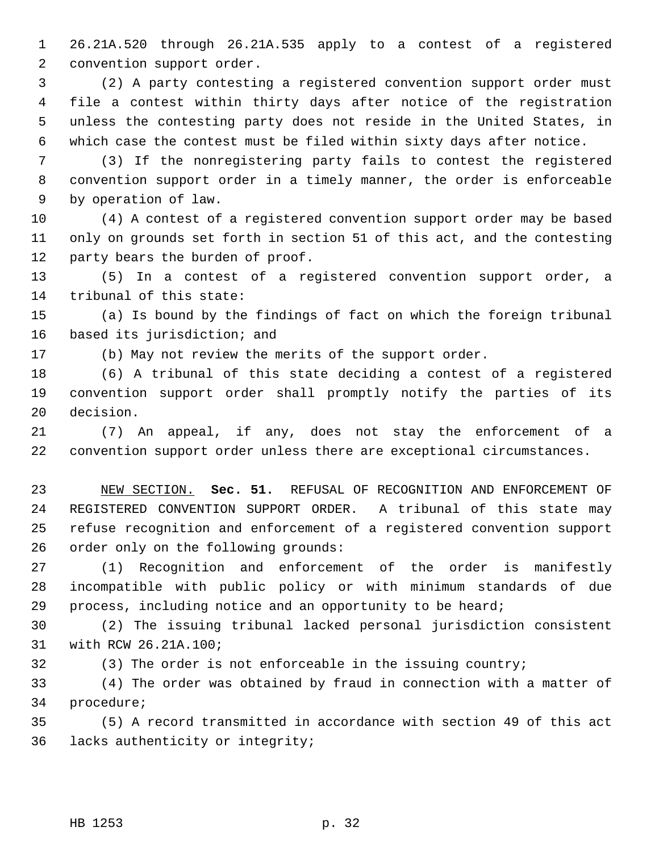1 26.21A.520 through 26.21A.535 apply to a contest of a registered 2 convention support order.

 3 (2) A party contesting a registered convention support order must 4 file a contest within thirty days after notice of the registration 5 unless the contesting party does not reside in the United States, in 6 which case the contest must be filed within sixty days after notice.

 7 (3) If the nonregistering party fails to contest the registered 8 convention support order in a timely manner, the order is enforceable 9 by operation of law.

10 (4) A contest of a registered convention support order may be based 11 only on grounds set forth in section 51 of this act, and the contesting 12 party bears the burden of proof.

13 (5) In a contest of a registered convention support order, a 14 tribunal of this state:

15 (a) Is bound by the findings of fact on which the foreign tribunal 16 based its jurisdiction; and

17 (b) May not review the merits of the support order.

18 (6) A tribunal of this state deciding a contest of a registered 19 convention support order shall promptly notify the parties of its 20 decision.

21 (7) An appeal, if any, does not stay the enforcement of a 22 convention support order unless there are exceptional circumstances.

23 NEW SECTION. **Sec. 51.** REFUSAL OF RECOGNITION AND ENFORCEMENT OF 24 REGISTERED CONVENTION SUPPORT ORDER. A tribunal of this state may 25 refuse recognition and enforcement of a registered convention support 26 order only on the following grounds:

27 (1) Recognition and enforcement of the order is manifestly 28 incompatible with public policy or with minimum standards of due 29 process, including notice and an opportunity to be heard;

30 (2) The issuing tribunal lacked personal jurisdiction consistent 31 with RCW 26.21A.100;

32 (3) The order is not enforceable in the issuing country;

33 (4) The order was obtained by fraud in connection with a matter of 34 procedure;

35 (5) A record transmitted in accordance with section 49 of this act 36 lacks authenticity or integrity;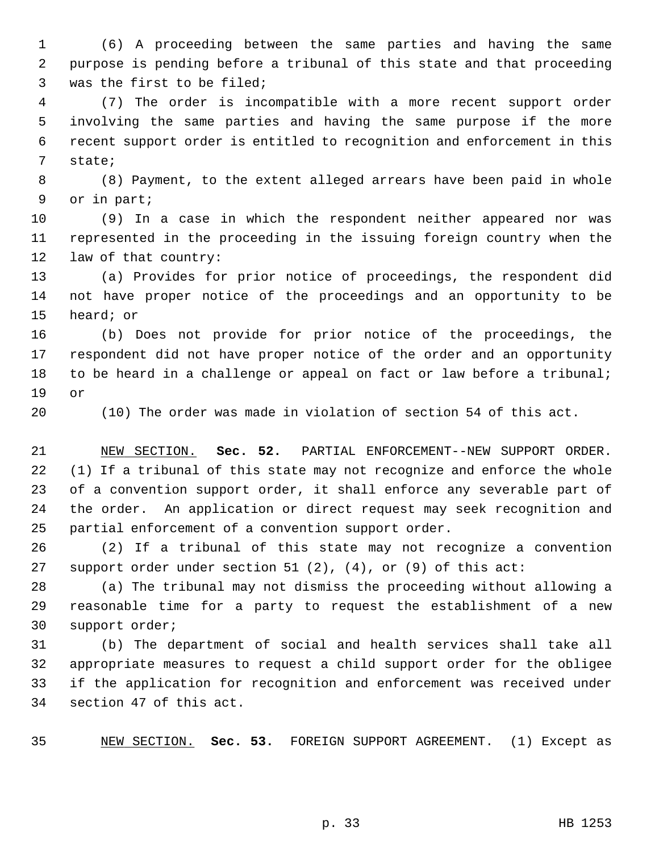1 (6) A proceeding between the same parties and having the same 2 purpose is pending before a tribunal of this state and that proceeding 3 was the first to be filed;

 4 (7) The order is incompatible with a more recent support order 5 involving the same parties and having the same purpose if the more 6 recent support order is entitled to recognition and enforcement in this 7 state;

 8 (8) Payment, to the extent alleged arrears have been paid in whole 9 or in part;

10 (9) In a case in which the respondent neither appeared nor was 11 represented in the proceeding in the issuing foreign country when the 12 law of that country:

13 (a) Provides for prior notice of proceedings, the respondent did 14 not have proper notice of the proceedings and an opportunity to be 15 heard; or

16 (b) Does not provide for prior notice of the proceedings, the 17 respondent did not have proper notice of the order and an opportunity 18 to be heard in a challenge or appeal on fact or law before a tribunal; 19 or

20 (10) The order was made in violation of section 54 of this act.

21 NEW SECTION. **Sec. 52.** PARTIAL ENFORCEMENT--NEW SUPPORT ORDER. 22 (1) If a tribunal of this state may not recognize and enforce the whole 23 of a convention support order, it shall enforce any severable part of 24 the order. An application or direct request may seek recognition and 25 partial enforcement of a convention support order.

26 (2) If a tribunal of this state may not recognize a convention 27 support order under section 51 (2), (4), or (9) of this act:

28 (a) The tribunal may not dismiss the proceeding without allowing a 29 reasonable time for a party to request the establishment of a new 30 support order;

31 (b) The department of social and health services shall take all 32 appropriate measures to request a child support order for the obligee 33 if the application for recognition and enforcement was received under 34 section 47 of this act.

35 NEW SECTION. **Sec. 53.** FOREIGN SUPPORT AGREEMENT. (1) Except as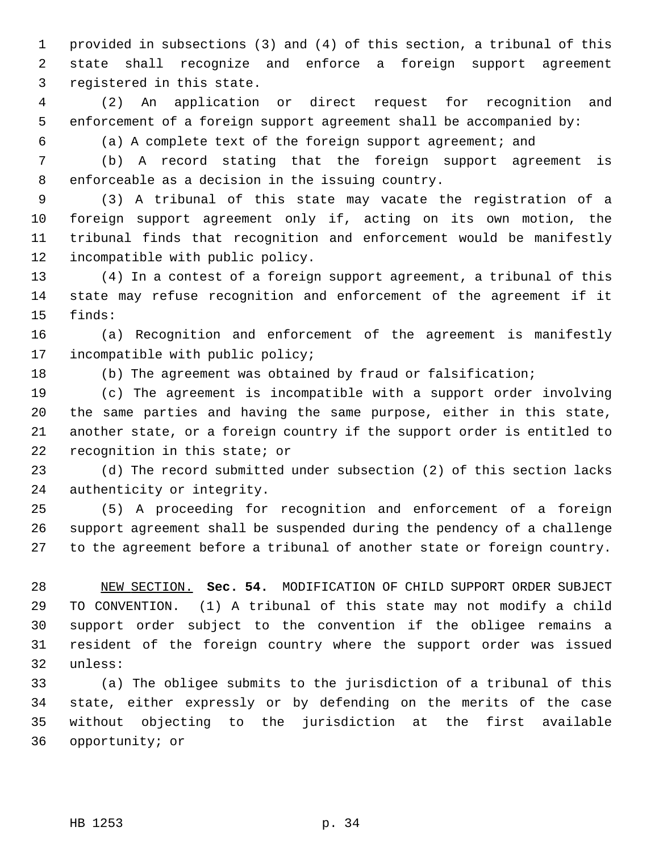1 provided in subsections (3) and (4) of this section, a tribunal of this 2 state shall recognize and enforce a foreign support agreement 3 registered in this state.

 4 (2) An application or direct request for recognition and 5 enforcement of a foreign support agreement shall be accompanied by:

6 (a) A complete text of the foreign support agreement; and

 7 (b) A record stating that the foreign support agreement is 8 enforceable as a decision in the issuing country.

 9 (3) A tribunal of this state may vacate the registration of a 10 foreign support agreement only if, acting on its own motion, the 11 tribunal finds that recognition and enforcement would be manifestly 12 incompatible with public policy.

13 (4) In a contest of a foreign support agreement, a tribunal of this 14 state may refuse recognition and enforcement of the agreement if it 15 finds:

16 (a) Recognition and enforcement of the agreement is manifestly 17 incompatible with public policy;

18 (b) The agreement was obtained by fraud or falsification;

19 (c) The agreement is incompatible with a support order involving 20 the same parties and having the same purpose, either in this state, 21 another state, or a foreign country if the support order is entitled to 22 recognition in this state; or

23 (d) The record submitted under subsection (2) of this section lacks 24 authenticity or integrity.

25 (5) A proceeding for recognition and enforcement of a foreign 26 support agreement shall be suspended during the pendency of a challenge 27 to the agreement before a tribunal of another state or foreign country.

28 NEW SECTION. **Sec. 54.** MODIFICATION OF CHILD SUPPORT ORDER SUBJECT 29 TO CONVENTION. (1) A tribunal of this state may not modify a child 30 support order subject to the convention if the obligee remains a 31 resident of the foreign country where the support order was issued 32 unless:

33 (a) The obligee submits to the jurisdiction of a tribunal of this 34 state, either expressly or by defending on the merits of the case 35 without objecting to the jurisdiction at the first available 36 opportunity; or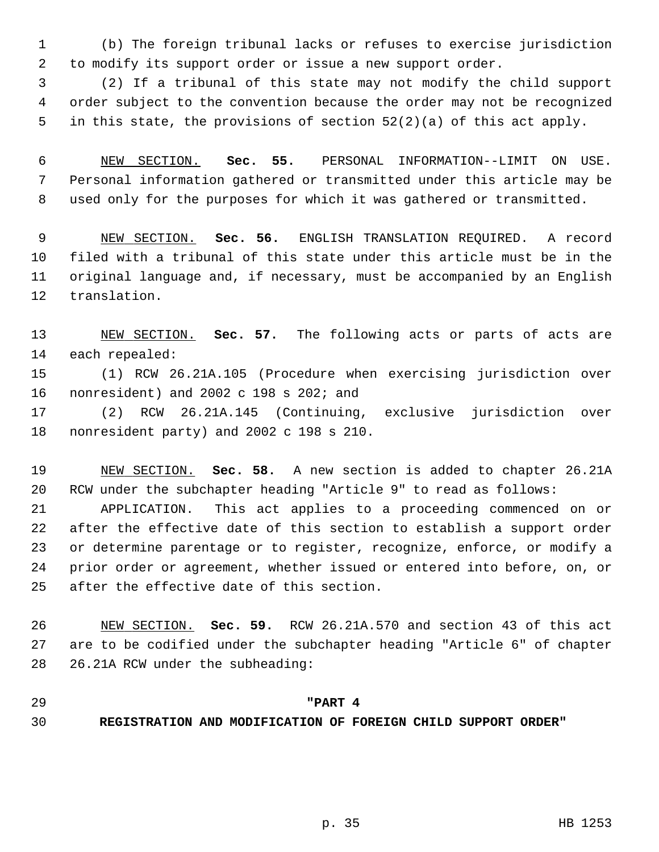1 (b) The foreign tribunal lacks or refuses to exercise jurisdiction 2 to modify its support order or issue a new support order.

 3 (2) If a tribunal of this state may not modify the child support 4 order subject to the convention because the order may not be recognized 5 in this state, the provisions of section 52(2)(a) of this act apply.

 6 NEW SECTION. **Sec. 55.** PERSONAL INFORMATION--LIMIT ON USE. 7 Personal information gathered or transmitted under this article may be 8 used only for the purposes for which it was gathered or transmitted.

 9 NEW SECTION. **Sec. 56.** ENGLISH TRANSLATION REQUIRED. A record 10 filed with a tribunal of this state under this article must be in the 11 original language and, if necessary, must be accompanied by an English 12 translation.

13 NEW SECTION. **Sec. 57.** The following acts or parts of acts are 14 each repealed:

15 (1) RCW 26.21A.105 (Procedure when exercising jurisdiction over 16 nonresident) and 2002 c 198 s 202; and

17 (2) RCW 26.21A.145 (Continuing, exclusive jurisdiction over 18 nonresident party) and 2002 c 198 s 210.

19 NEW SECTION. **Sec. 58.** A new section is added to chapter 26.21A 20 RCW under the subchapter heading "Article 9" to read as follows:

21 APPLICATION. This act applies to a proceeding commenced on or 22 after the effective date of this section to establish a support order 23 or determine parentage or to register, recognize, enforce, or modify a 24 prior order or agreement, whether issued or entered into before, on, or 25 after the effective date of this section.

26 NEW SECTION. **Sec. 59.** RCW 26.21A.570 and section 43 of this act 27 are to be codified under the subchapter heading "Article 6" of chapter 28 26.21A RCW under the subheading:

## 29 **"PART 4**

30 **REGISTRATION AND MODIFICATION OF FOREIGN CHILD SUPPORT ORDER"**